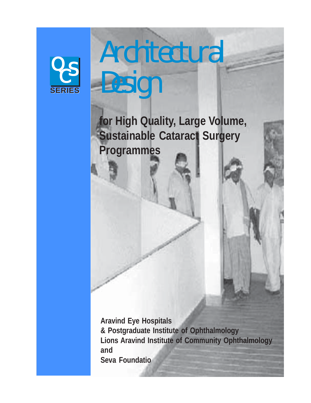

the contract of the contract of the contract of the contract of the contract of the contract of the contract of the contract of the contract of the contract of the contract of the contract of the contract of the contract of the control of the control of the control of the control of the control of the control of the control of the control of the control of the control of the control of the control of the control of the control of the control the contract of the contract of the contract of the contract of the contract of the contract of the contract of the contract of the contract of the contract of the contract of the contract of the contract of the contract of the contract of the contract of the contract of the contract of the contract of the contract of the contract of the contract of the contract of the contract of the contract of the contract of the contract of the contract of the contract of the contract of the contract of the contract of the contract of the contract of the contract of the contract of the contract of the contract of the contract of the contract of the contract of the contract of the control of the control of the control of the control of the control of the control of the control of the control of the control of the control of the control of the control of the control of the control of the control the contract of the contract of the contract of the contract of the contract of the contract of the contract of the contract of the contract of the contract of the contract of the contract of the contract of the contract of the contract of the contract of the contract of the contract of the contract of the contract of the contract of the contract of the contract of the contract of the contract of the contract of the contract of the contract of the contract of the contract of the contract of the contract of the contract of the contract of the contract of the contract of the contract of the contract of the contract of the contract of the contract of the contract of the control of the control of the control of the control of the control of the control of the control of the control of the control of the control of the control of the control of the control of the control of the control the contract of the contract of the contract of the contract of the contract of the contract of the contract of the contract of the contract of the contract of the contract of the contract of the contract of the contract of the contract of the contract of the contract of the contract of the contract of the contract of the contract of the contract of the contract of the contract of the contract of the contract of the contract of the contract of the contract of the contract of the contract of the contract of the contract of the contract of the contract of the contract of the contract of the contract of the contract of the contract of the contract of the contract of the control of the control of the control of the control of the control of the control of the control of the control of the control of the control of the control of the control of the control of the control of the control the contract of the contract of the contract of the contract of the contract of the contract of the contract of the contract of the contract of the contract of the contract of the contract of the contract of the contract of the contract of the contract of the contract of the contract of the contract of the contract of the contract of the control of the control of the control of the control of the control of the control of the control of the control of the control of the control of the control of the control of the control of the control of the control the contract of the contract of the contract of the contract of the contract of the contract of the contract of the contract of the contract of the contract of the contract of the contract of the contract of the contract of the contract of the contract of the contract of the contract of the contract of the contract of the contract of the contract of the contract of the contract of the contract of the contract of the contract of the contract of the contract of the contract of the contract of the contract of the contract of the contract of the contract of the contract of the contract of the contract of the contract of the contract of the contract of the contract of the control of the control of the control of the control of the control of the control of the control of the control of the control of the control of the control of the control of the control of the control of the control the contract of the contract of the contract of the contract of the contract of the contract of the contract of the contract of the contract of the contract of the contract of the contract of the contract of the contract of the contract of the contract of the contract of the contract of the contract of the contract of the contract of the contract of the contract of the contract of the contract of the contract of the contract of the contract of the contract of the contract of the contract of the contract of the contract of the contract of the contract of the contract of the contract of the contract of the contract of the contract of the contract of the contract of the control of the control of the control of the control of the control of the control of the control of the control of the control of the control of the control of the control of the control of the control of the control the contract of the contract of the contract of the contract of the contract of the contract of the contract of the contract of the contract of the contract of the contract of the contract of the contract of the contract of the contract of the contract of the contract of the contract of the contract of the contract of the contract of the contract of the contract of the contract of the contract of the contract of the contract of the contract of the contract of the contract of the contract of the contract of the contract of the contract of the contract of the contract of the contract of the contract of the contract of the contract of the contract of the contract of

the contract of the contract of the contract of the contract of the contract of the contract of the contract of the contract of the contract of the contract of the contract of the contract of the contract of the contract of the contract of the contract of the contract of the contract of the contract of the contract of the contract of the control of the control of the control of the control of the control of the control of the control of the control of the control of the control of the control of the control of the control of the control of the control the contract of the contract of the contract of the contract of the contract of the contract of the contract of

# Architectural Design

**for High Quality, Large Volume, Sustainable Cataract Surgery Programmes**

**Aravind Eye Hospitals & Postgraduate Institute of Ophthalmology Lions Aravind Institute of Community Ophthalmology and Seva Foundatio**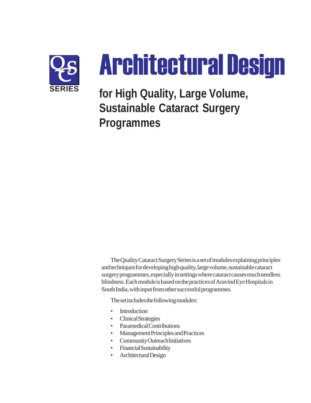

# **Architectural Design**

**for High Quality, Large Volume, Sustainable Cataract Surgery Programmes**

The Quality Cataract Surgery Series is a set of modules explaining principles and techniques for developing high quality, large volume, sustainable cataract surgery programmes, especially in settings where cataract causes much needless blindness. Each module is based on the practices of Aravind Eye Hospitals in South India, with input from other successful programmes.

The set includes the following modules:

- Introduction
- Clinical Strategies
- Paramedical Contributions
- Management Principles and Practices
- Community Outreach Initiatives
- Financial Sustainability
- Architectural Design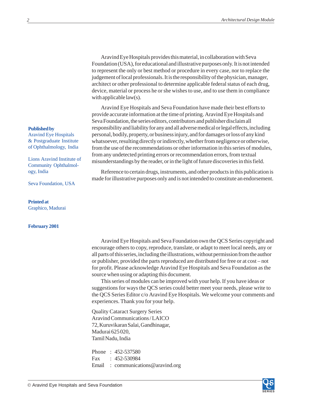Aravind Eye Hospitals provides this material, in collaboration with Seva Foundation (USA), for educational and illustrative purposes only. It is not intended to represent the only or best method or procedure in every case, nor to replace the judgement of local professionals. It is the responsibility of the physician, manager, architect or other professional to determine applicable federal status of each drug, device, material or process he or she wishes to use, and to use them in compliance with applicable law(s).

Aravind Eye Hospitals and Seva Foundation have made their best efforts to provide accurate information at the time of printing. Aravind Eye Hospitals and Seva Foundation, the series editors, contributors and publisher disclaim all responsibility and liability for any and all adverse medical or legal effects, including personal, bodily, property, or business injury, and for damages or loss of any kind whatsoever, resulting directly or indirectly, whether from negligence or otherwise, from the use of the recommendations or other information in this series of modules, from any undetected printing errors or recommendation errors, from textual misunderstandings by the reader, or in the light of future discoveries in this field.

Reference to certain drugs, instruments, and other products in this publication is made for illustrative purposes only and is not intended to constitute an endorsement.

**Published by**

Aravind Eye Hospitals & Postgraduate Institute of Ophthalmology, India

Lions Aravind Institute of Community Ophthalmology, India

Seva Foundation, USA

**Printed at** Graphico, Madurai

#### **February 2001**

Aravind Eye Hospitals and Seva Foundation own the QCS Series copyright and encourage others to copy, reproduce, translate, or adapt to meet local needs, any or all parts of this series, including the illustrations, without permission from the author or publisher, provided the parts reproduced are distributed for free or at cost – not for profit. Please acknowledge Aravind Eye Hospitals and Seva Foundation as the source when using or adapting this document.

This series of modules can be improved with your help. If you have ideas or suggestions for ways the QCS series could better meet your needs, please write to the QCS Series Editor c/o Aravind Eye Hospitals. We welcome your comments and experiences. Thank you for your help.

Quality Cataract Surgery Series Aravind Communications / LAICO 72, Kuruvikaran Salai, Gandhinagar, Madurai 625 020, Tamil Nadu, India

Phone : 452-537580 Fax : 452-530984 Email : communications@aravind.org

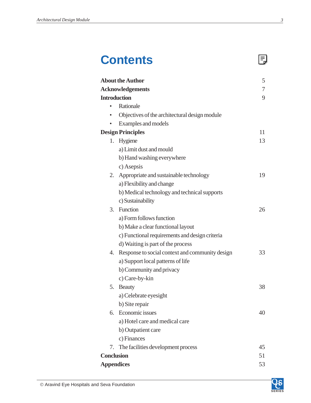# **Contents**

| <b>About the Author</b> |                                                    |    |  |
|-------------------------|----------------------------------------------------|----|--|
| <b>Acknowledgements</b> |                                                    |    |  |
|                         | <b>Introduction</b>                                | 9  |  |
|                         | Rationale                                          |    |  |
|                         | Objectives of the architectural design module      |    |  |
|                         | Examples and models                                |    |  |
|                         | <b>Design Principles</b>                           | 11 |  |
|                         | 1. Hygiene                                         | 13 |  |
|                         | a) Limit dust and mould                            |    |  |
|                         | b) Hand washing everywhere                         |    |  |
|                         | c) Asepsis                                         |    |  |
|                         | 2. Appropriate and sustainable technology          | 19 |  |
|                         | a) Flexibility and change                          |    |  |
|                         | b) Medical technology and technical supports       |    |  |
|                         | c) Sustainability                                  |    |  |
|                         | 3. Function                                        | 26 |  |
|                         | a) Form follows function                           |    |  |
|                         | b) Make a clear functional layout                  |    |  |
|                         | c) Functional requirements and design criteria     |    |  |
|                         | d) Waiting is part of the process                  |    |  |
|                         | 4. Response to social context and community design | 33 |  |
|                         | a) Support local patterns of life                  |    |  |
|                         | b) Community and privacy                           |    |  |
|                         | c) Care-by-kin                                     |    |  |
|                         | 5. Beauty                                          | 38 |  |
|                         | a) Celebrate eyesight                              |    |  |
|                         | b) Site repair                                     |    |  |
|                         | 6. Economic issues                                 | 40 |  |
|                         | a) Hotel care and medical care                     |    |  |
|                         | b) Outpatient care                                 |    |  |
|                         | c) Finances                                        |    |  |
| 7.                      | The facilities development process                 | 45 |  |
|                         | <b>Conclusion</b>                                  |    |  |
| <b>Appendices</b>       |                                                    | 53 |  |

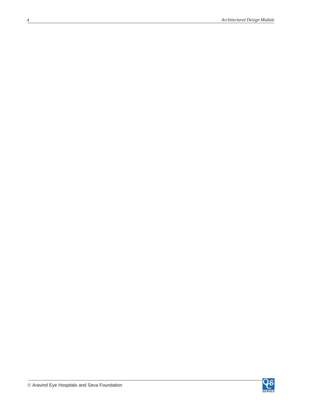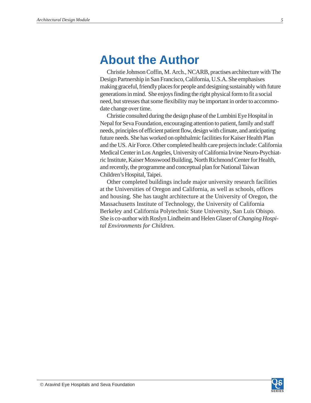## <span id="page-5-0"></span>**About the Author**

Christie Johnson Coffin, M. Arch., NCARB, practises architecture with The Design Partnership in San Francisco, California, U.S.A. She emphasises making graceful, friendly places for people and designing sustainably with future generations in mind. She enjoys finding the right physical form to fit a social need, but stresses that some flexibility may be important in order to accommodate change over time.

Christie consulted during the design phase of the Lumbini Eye Hospital in Nepal for Seva Foundation, encouraging attention to patient, family and staff needs, principles of efficient patient flow, design with climate, and anticipating future needs. She has worked on ophthalmic facilities for Kaiser Health Plan and the US. Air Force. Other completed health care projects include: California Medical Center in Los Angeles, University of California Irvine Neuro-Psychiatric Institute, Kaiser Mosswood Building, North Richmond Center for Health, and recently, the programme and conceptual plan for National Taiwan Children's Hospital, Taipei.

Other completed buildings include major university research facilities at the Universities of Oregon and California, as well as schools, offices and housing. She has taught architecture at the University of Oregon, the Massachusetts Institute of Technology, the University of California Berkeley and California Polytechnic State University, San Luis Obispo. She is co-author with Roslyn Lindheim and Helen Glaser of *Changing Hospital Environments for Children.*

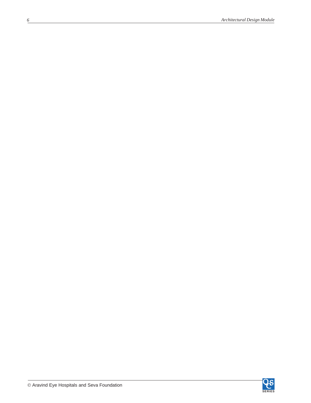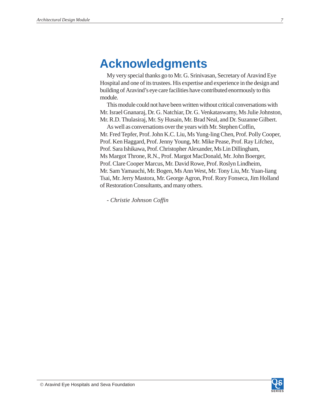### <span id="page-7-0"></span>**Acknowledgments**

My very special thanks go to Mr. G. Srinivasan, Secretary of Aravind Eye Hospital and one of its trustees. His expertise and experience in the design and building of Aravind's eye care facilities have contributed enormously to this module.

This module could not have been written without critical conversations with Mr. Israel Gnanaraj, Dr. G. Natchiar, Dr. G. Venkataswamy, Ms Julie Johnston, Mr. R.D. Thulasiraj, Mr. Sy Husain, Mr. Brad Neal, and Dr. Suzanne Gilbert.

As well as conversations over the years with Mr. Stephen Coffin, Mr. Fred Tepfer, Prof. John K.C. Liu, Ms Yung-ling Chen, Prof. Polly Cooper, Prof. Ken Haggard, Prof. Jenny Young, Mr. Mike Pease, Prof. Ray Lifchez, Prof. Sara Ishikawa, Prof. Christopher Alexander, Ms Lin Dillingham, Ms Margot Throne, R.N., Prof. Margot MacDonald, Mr. John Boerger, Prof. Clare Cooper Marcus, Mr. David Rowe, Prof. Roslyn Lindheim, Mr. Sam Yamauchi, Mr. Bogen, Ms Ann West, Mr. Tony Liu, Mr. Yuan-liang Tsai, Mr. Jerry Mastora, Mr. George Agron, Prof. Rory Fonseca, Jim Holland of Restoration Consultants, and many others.

*- Christie Johnson Coffin*

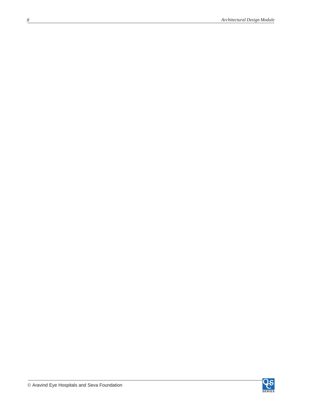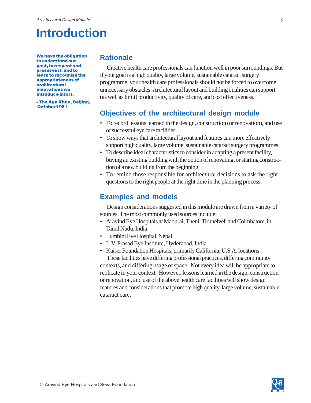# <span id="page-9-0"></span>**Introduction**

We have the obligation to understand our past, to respect and preserve it, and to learn to recognise the appropriateness of architectural innovations we introduce into it.

- The Aga Khan, Beijing, October 1981

#### **Rationale**

Creative health care professionals can function well in poor surroundings. But if your goal is a high quality, large volume, sustainable cataract surgery programme, your health care professionals should not be forced to overcome unnecessary obstacles. Architectural layout and building qualities can support (as well as limit) productivity, quality of care, and cost effectiveness.

#### **Objectives of the architectural design module**

- To record lessons learned in the design, construction (or renovation), and use of successful eye care facilities.
- To show ways that architectural layout and features can more effectively support high quality, large volume, sustainable cataract surgery programmes.
- To describe ideal characteristics to consider in adapting a present facility, buying an existing building with the option of renovating, or starting construction of a new building from the beginning.
- To remind those responsible for architectural decisions to ask the right questions to the right people at the right time in the planning process.

#### **Examples and models**

Design considerations suggested in this module are drawn from a variety of sources. The most commonly used sources include:

- Aravind Eye Hospitals at Madurai, Theni, Tirunelveli and Coimbatore, in Tamil Nadu, India
- Lumbini Eye Hospital, Nepal
- L.V. Prasad Eye Institute, Hyderabad, India
- Kaiser Foundation Hospitals, primarily California, U.S.A. locations These facilities have differing professional practices, differing community

contexts, and differing usage of space. Not every idea will be appropriate to replicate in your context. However, lessons learned in the design, construction or renovation, and use of the above health care facilities will show design features and considerations that promote high quality, large volume, sustainable cataract care.

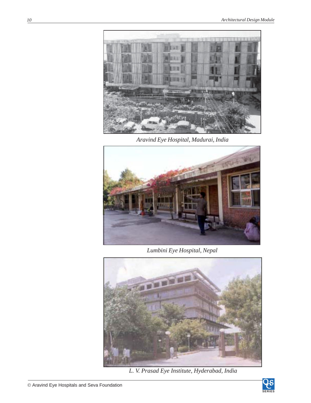

*Aravind Eye Hospital, Madurai, India*



*Lumbini Eye Hospital, Nepal*



*L. V. Prasad Eye Institute, Hyderabad, India*



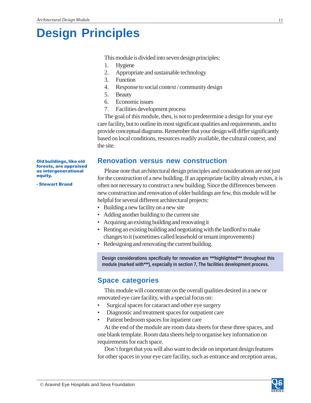# <span id="page-11-0"></span>**Design Principles**

This module is divided into seven design principles:

- 1. Hygiene
- 2. Appropriate and sustainable technology
- 3. Function
- 4. Response to social context / community design
- 5. Beauty
- 6. Economic issues
- 7. Facilities development process

The goal of this module, then, is not to predetermine a design for your eye care facility, but to outline its most significant qualities and requirements, and to provide conceptual diagrams. Remember that your design will differ significantly based on local conditions, resources readily available, the cultural context, and the site.

#### **Renovation versus new construction**

Old buildings, like old forests, are appraised as intergenerational equity.

- Stewart Brand

Please note that architectural design principles and considerations are not just for the construction of a new building. If an appropriate facility already exists, it is often not necessary to construct a new building. Since the differences between new construction and renovation of older buildings are few, this module will be helpful for several different architectural projects:

- Building a new facility on a new site
- Adding another building to the current site
- Acquiring an existing building and renovating it
- Renting an existing building and negotiating with the landlord to make changes to it (sometimes called leasehold or tenant improvements)
- Redesigning and renovating the current building.

**Design considerations specifically for renovation are \*\*\*highlighted\*\*\* throughout this module (marked with\*\*\*), especially in section 7, The facilities development process.**

#### **Space categories**

This module will concentrate on the overall qualities desired in a new or renovated eye care facility, with a special focus on:

- Surgical spaces for cataract and other eye surgery
- Diagnostic and treatment spaces for outpatient care
- Patient bedroom spaces for inpatient care

At the end of the module are room data sheets for these three spaces, and one blank template. Room data sheets help to organise key information on requirements for each space.

Don't forget that you will also want to decide on important design features for other spaces in your eye care facility, such as entrance and reception areas,

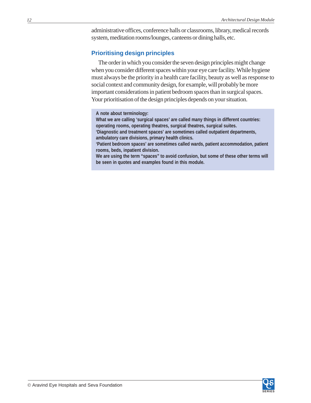administrative offices, conference halls or classrooms, library, medical records system, meditation rooms/lounges, canteens or dining halls, etc.

#### **Prioritising design principles**

The order in which you consider the seven design principles might change when you consider different spaces within your eye care facility. While hygiene must always be the priority in a health care facility, beauty as well as response to social context and community design, for example, will probably be more important considerations in patient bedroom spaces than in surgical spaces. Your prioritisation of the design principles depends on your situation.

**A note about terminology:**

**What we are calling 'surgical spaces' are called many things in different countries: operating rooms, operating theatres, surgical theatres, surgical suites. 'Diagnostic and treatment spaces' are sometimes called outpatient departments,**

**ambulatory care divisions, primary health clinics.**

**'Patient bedroom spaces' are sometimes called wards, patient accommodation, patient rooms, beds, inpatient division.**

**We are using the term "spaces" to avoid confusion, but some of these other terms will be seen in quotes and examples found in this module.**

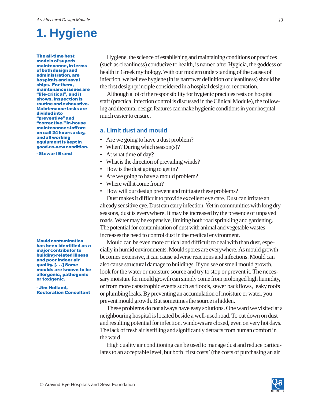# <span id="page-13-0"></span>**1. Hygiene**

The all-time bes<mark>t</mark> models of superb maintenance, in terms of both design and administration, are hospitals and naval ships. For them, maintenance issues are "life-critical", and it shows. Inspection is routine and exhaustive. <u>Maintenance tasks are</u> divided into "preventive" and "corrective." In-house maintenance staff are on call 24 hours a day, and all working equipment is kept in good-as-new condition.

- Stewart Brand

<u>Mould contamination</u> has been identified as a major contributor to building-related illness and poor indoor air quality. [. . .] Some moulds are known to be allergenic, pathogenic or toxigenic.

- Jim Holland, <u>Restoration Consultant</u>

Hygiene, the science of establishing and maintaining conditions or practices (such as cleanliness) conducive to health, is named after Hygieia, the goddess of health in Greek mythology. With our modern understanding of the causes of infection, we believe hygiene (in its narrower definition of cleanliness) should be the first design principle considered in a hospital design or renovation.

Although a lot of the responsibility for hygienic practices rests on hospital staff (practical infection control is discussed in the Clinical Module), the following architectural design features can make hygienic conditions in your hospital much easier to ensure.

#### **a. Limit dust and mould**

- Are we going to have a dust problem?
- When? During which season(s)?
- At what time of day?
- What is the direction of prevailing winds?
- How is the dust going to get in?
- Are we going to have a mould problem?
- Where will it come from?
- How will our design prevent and mitigate these problems?

Dust makes it difficult to provide excellent eye care. Dust can irritate an already sensitive eye. Dust can carry infection. Yet in communities with long dry seasons, dust is everywhere. It may be increased by the presence of unpaved roads. Water may be expensive, limiting both road sprinkling and gardening. The potential for contamination of dust with animal and vegetable wastes increases the need to control dust in the medical environment.

Mould can be even more critical and difficult to deal with than dust, especially in humid environments. Mould spores are everywhere. As mould growth becomes extensive, it can cause adverse reactions and infections. Mould can also cause structural damage to buildings. If you see or smell mould growth, look for the water or moisture source and try to stop or prevent it. The necessary moisture for mould growth can simply come from prolonged high humidity, or from more catastrophic events such as floods, sewer backflows, leaky roofs or plumbing leaks. By preventing an accumulation of moisture or water, you prevent mould growth. But sometimes the source is hidden.

These problems do not always have easy solutions. One ward we visited at a neighbouring hospital is located beside a well-used road. To cut down on dust and resulting potential for infection, windows are closed, even on very hot days. The lack of fresh air is stifling and significantly detracts from human comfort in the ward.

High quality air conditioning can be used to manage dust and reduce particulates to an acceptable level, but both 'first costs' (the costs of purchasing an air

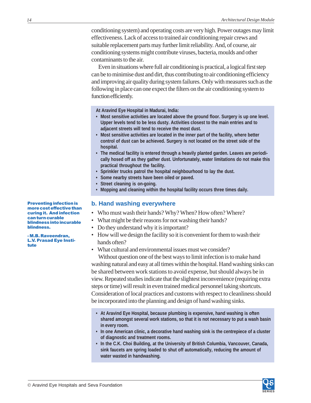<span id="page-14-0"></span>conditioning system) and operating costs are very high. Power outages may limit effectiveness. Lack of access to trained air conditioning repair crews and suitable replacement parts may further limit reliability. And, of course, air conditioning systems might contribute viruses, bacteria, moulds and other contaminants to the air.

Even in situations where full air conditioning is practical, a logical first step can be to minimise dust and dirt, thus contributing to air conditioning efficiency and improving air quality during system failures. Only with measures such as the following in place can one expect the filters on the air conditioning system to function efficiently.

**At Aravind Eye Hospital in Madurai, India:**

- **Most sensitive activities are located above the ground floor. Surgery is up one level. Upper levels tend to be less dusty. Activities closest to the main entries and to adjacent streets will tend to receive the most dust.**
- **Most sensitive activities are located in the inner part of the facility, where better control of dust can be achieved. Surgery is not located on the street side of the hospital.**
- **The medical facility is entered through a heavily planted garden. Leaves are periodically hosed off as they gather dust. Unfortunately, water limitations do not make this practical throughout the facility.**
- **Sprinkler trucks patrol the hospital neighbourhood to lay the dust.**
- **Some nearby streets have been oiled or paved.**
- **Street cleaning is on-going.**
- **Mopping and cleaning within the hospital facility occurs three times daily.**

#### **b. Hand washing everywhere**

- Who must wash their hands? Why? When? How often? Where?
- What might be their reasons for not washing their hands?
- Do they understand why it is important?
- How will we design the facility so it is convenient for them to wash their hands often?
- What cultural and environmental issues must we consider?

Without question one of the best ways to limit infection is to make hand washing natural and easy at all times within the hospital. Hand washing sinks can be shared between work stations to avoid expense, but should always be in view. Repeated studies indicate that the slightest inconvenience (requiring extra steps or time) will result in even trained medical personnel taking shortcuts. Consideration of local practices and customs with respect to cleanliness should be incorporated into the planning and design of hand washing sinks.

- **At Aravind Eye Hospital, because plumbing is expensive, hand washing is often shared amongst several work stations, so that it is not necessary to put a wash basin in every room.**
- **In one American clinic, a decorative hand washing sink is the centrepiece of a cluster of diagnostic and treatment rooms.**
- **In the C.K. Choi Building, at the University of British Columbia, Vancouver, Canada, sink faucets are spring loaded to shut off automatically, reducing the amount of water wasted in handwashing.**

Preventing infection is more cost effective than curing it. And infection can turn curable blindness into incurable blindness.

- M.B. Raveendran, L.V. Prasad Eye Institute

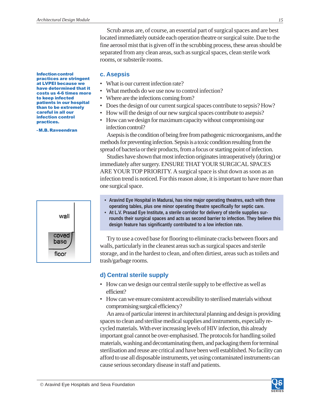Scrub areas are, of course, an essential part of surgical spaces and are best located immediately outside each operation theatre or surgical suite. Due to the fine aerosol mist that is given off in the scrubbing process, these areas should be separated from any clean areas, such as surgical spaces, clean sterile work rooms, or substerile rooms.

**c. Asepsis**

- What is our current infection rate?
- What methods do we use now to control infection?
- Where are the infections coming from?
- Does the design of our current surgical spaces contribute to sepsis? How?
- How will the design of our new surgical spaces contribute to asepsis?
- How can we design for maximum capacity without compromising our infection control?

Asepsis is the condition of being free from pathogenic microorganisms, and the methods for preventing infection. Sepsis is a toxic condition resulting from the spread of bacteria or their products, from a focus or starting point of infection.

Studies have shown that most infection originates intraoperatively (during) or immediately after surgery. ENSURE THAT YOUR SURGICAL SPACES ARE YOUR TOP PRIORITY. A surgical space is shut down as soon as an infection trend is noticed. For this reason alone, it is important to have more than one surgical space.

- **Aravind Eye Hospital in Madurai, has nine major operating theatres, each with three operating tables, plus one minor operating theatre specifically for septic care.**
- **At L.V. Prasad Eye Institute, a sterile corridor for delivery of sterile supplies surrounds their surgical spaces and acts as second barrier to infection. They believe this design feature has significantly contributed to a low infection rate.**

Try to use a coved base for flooring to eliminate cracks between floors and walls, particularly in the cleanest areas such as surgical spaces and sterile storage, and in the hardest to clean, and often dirtiest, areas such as toilets and trash/garbage rooms.

#### **d) Central sterile supply**

- How can we design our central sterile supply to be effective as well as efficient?
- How can we ensure consistent accessibility to sterilised materials without compromising surgical efficiency?

An area of particular interest in architectural planning and design is providing spaces to clean and sterilise medical supplies and instruments, especially recycled materials. With ever increasing levels of HIV infection, this already important goal cannot be over-emphasised. The protocols for handling soiled materials, washing and decontaminating them, and packaging them for terminal sterilisation and reuse are critical and have been well established. No facility can afford to use all disposable instruments, yet using contaminated instruments can cause serious secondary disease in staff and patients.

<span id="page-15-0"></span>Infection control practices are stringent at LVPEI because we have determined that it costs us 4-6 times more to keep infected patients in our hospital than to be extremely careful in all our infection control practices.

- M.B. Raveendran



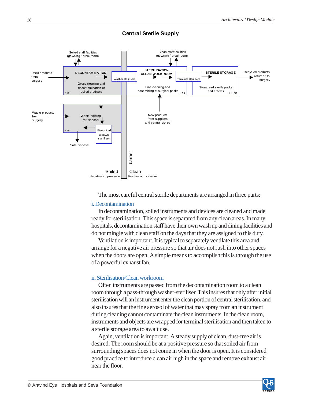

#### **Central Sterile Supply**

The most careful central sterile departments are arranged in three parts:

#### i. Decontamination

In decontamination, soiled instruments and devices are cleaned and made ready for sterilisation. This space is separated from any clean areas. In many hospitals, decontamination staff have their own wash up and dining facilities and do not mingle with clean staff on the days that they are assigned to this duty.

Ventilation is important. It is typical to separately ventilate this area and arrange for a negative air pressure so that air does not rush into other spaces when the doors are open. A simple means to accomplish this is through the use of a powerful exhaust fan.

#### ii. Sterilisation/Clean workroom

Often instruments are passed from the decontamination room to a clean room through a pass-through washer-steriliser. This insures that only after initial sterilisation will an instrument enter the clean portion of central sterilisation, and also insures that the fine aerosol of water that may spray from an instrument during cleaning cannot contaminate the clean instruments. In the clean room, instruments and objects are wrapped for terminal sterilisation and then taken to a sterile storage area to await use.

Again, ventilation is important. A steady supply of clean, dust-free air is desired. The room should be at a positive pressure so that soiled air from surrounding spaces does not come in when the door is open. It is considered good practice to introduce clean air high in the space and remove exhaust air near the floor.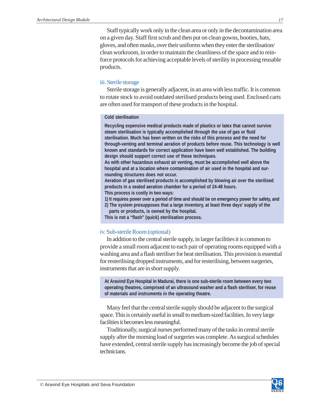Staff typically work only in the clean area or only in the decontamination area on a given day. Staff first scrub and then put on clean gowns, booties, hats, gloves, and often masks, over their uniforms when they enter the sterilisation/ clean workroom, in order to maintain the cleanliness of the space and to reinforce protocols for achieving acceptable levels of sterility in processing reusable products.

#### iii. Sterile storage

Sterile storage is generally adjacent, in an area with less traffic. It is common to rotate stock to avoid outdated sterilised products being used. Enclosed carts are often used for transport of these products in the hospital.

#### **Cold sterilisation**

**Recycling expensive medical products made of plastics or latex that cannot survive steam sterilisation is typically accomplished through the use of gas or fluid sterilisation. Much has been written on the risks of this process and the need for through-venting and terminal aeration of products before reuse. This technology is well known and standards for correct application have been well established. The building design should support correct use of these techniques.**

**As with other hazardous exhaust air venting, must be accomplished well above the hospital and at a location where contamination of air used in the hospital and surrounding structures does not occur.**

**Aeration of gas sterilised products is accomplished by blowing air over the sterilised products in a sealed aeration chamber for a period of 24-48 hours.**

**This process is costly in two ways:**

**1) It requires power over a period of time and should be on emergency power for safety, and**

**2) The system presupposes that a large inventory, at least three days' supply of the parts or products, is owned by the hospital.**

**This is not a "flash" (quick) sterilisation process.**

#### iv. Sub-sterile Room (optional)

In addition to the central sterile supply, in larger facilities it is common to provide a small room adjacent to each pair of operating rooms equipped with a washing area and a flash steriliser for heat sterilisation. This provision is essential for resterilising dropped instruments, and for resterilising, between surgeries, instruments that are in short supply.

**At Aravind Eye Hospital in Madurai, there is one sub-sterile room between every two operating theatres, comprised of an ultrasound washer and a flash steriliser, for reuse of materials and instruments in the operating theatre.**

Many feel that the central sterile supply should be adjacent to the surgical space. This is certainly useful in small to medium-sized facilities. In very large facilities it becomes less meaningful.

Traditionally, surgical nurses performed many of the tasks in central sterile supply after the morning load of surgeries was complete. As surgical schedules have extended, central sterile supply has increasingly become the job of special technicians.

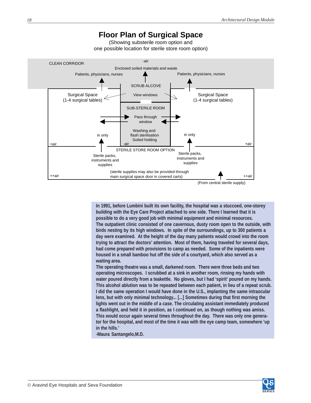

**In 1991, before Lumbini built its own facility, the hospital was a stuccoed, one-storey building with the Eye Care Project attached to one side. There I learned that it is possible to do a very good job with minimal equipment and minimal resources. The outpatient clinic consisted of one cavernous, dusty room open to the outside, with birds nesting by its high windows. In spite of the surroundings, up to 300 patients a day were examined. At the height of the day many patients would crowd into the room trying to attract the doctors' attention. Most of them, having traveled for several days, had come prepared with provisions to camp as needed. Some of the inpatients were housed in a small bamboo hut off the side of a courtyard, which also served as a waiting area.**

**The operating theatre was a small, darkened room. There were three beds and two operating microscopes. I scrubbed at a sink in another room, rinsing my hands with water poured directly from a teakettle. No gloves, but I had 'spirit' poured on my hands. This alcohol ablution was to be repeated between each patient, in lieu of a repeat scrub. I did the same operation I would have done in the U.S., implanting the same intraocular lens, but with only minimal technology... [...] Sometimes during that first morning the lights went out in the middle of a case. The circulating assistant immediately produced a flashlight, and held it in position, as I continued on, as though nothing was amiss. This would occur again several times throughout the day. There was only one generator for the hospital, and most of the time it was with the eye camp team, somewhere 'up in the hills.'**

**-Maura Santangelo,M.D.**

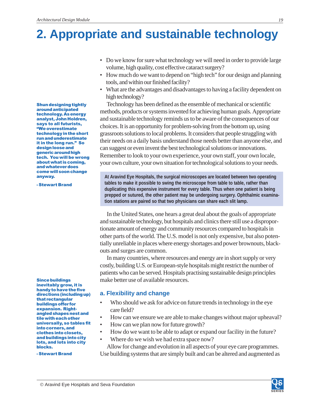# <span id="page-19-0"></span>**2. Appropriate and sustainable technology**

- Do we know for sure what technology we will need in order to provide large volume, high quality, cost effective cataract surgery?
- How much do we want to depend on "high tech" for our design and planning tools, and within our finished facility?
- What are the advantages and disadvantages to having a facility dependent on high technology?

Technology has been defined as the ensemble of mechanical or scientific methods, products or systems invented for achieving human goals. Appropriate and sustainable technology reminds us to be aware of the consequences of our choices. It is an opportunity for problem-solving from the bottom up, using grassroots solutions to local problems. It considers that people struggling with their needs on a daily basis understand those needs better than anyone else, and can suggest or even invent the best technological solutions or innovations. Remember to look to your own experience, your own staff, your own locale, your own culture, your own situation for technological solutions to your needs.

**At Aravind Eye Hospitals, the surgical microscopes are located between two operating tables to make it possible to swing the microscope from table to table, rather than duplicating this expensive instrument for every table. Thus when one patient is being prepped or sutured, the other patient may be undergoing surgery. Ophthalmic examination stations are paired so that two physicians can share each slit lamp.**

In the United States, one hears a great deal about the goals of appropriate and sustainable technology, but hospitals and clinics there still use a disproportionate amount of energy and community resources compared to hospitals in other parts of the world. The U.S. model is not only expensive, but also potentially unreliable in places where energy shortages and power brownouts, blackouts and surges are common.

In many countries, where resources and energy are in short supply or very costly, building U.S. or European-style hospitals might restrict the number of patients who can be served. Hospitals practising sustainable design principles make better use of available resources.

#### **a. Flexibility and change**

- Who should we ask for advice on future trends in technology in the eye care field?
- How can we ensure we are able to make changes without major upheaval?
- How can we plan now for future growth?
- How do we want to be able to adapt or expand our facility in the future?
- Where do we wish we had extra space now?

Allow for change and evolution in all aspects of your eye care programmes. Use building systems that are simply built and can be altered and augmented as

Shun designing tightly around anticipated technology. As energy analyst, John Holdren, says to all futurists, <u>"We overestimate</u> technology in the short <u>run and underestimate</u> it in the long run." So design loose and generic around high tech. You will be wrong about what is coming, and whatever does come will soon change anyway.

- Stewart Brand

Since buildings inevitably grow, it is handy to have the five directions (including up) that rectangular buildings offer for expansion. Rightangled shapes nest and tile with each other universally, so tables fit into corners, and clothes into closets, and buildings into city lots, and lots into city blocks.

- Stewart Brand

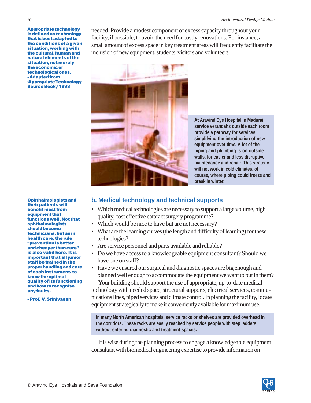<span id="page-20-0"></span>Appropriate technology is defined as technology that is best adapted to the conditions of a given situation, working with the cultural, human and natural elements of the situation, not merely the economic or technological ones. - Adapted from 'Appropriate Technology Source Book,' 1993

Ophthalmologists and their patients will benefit most from equipment that functions well. Not that ophthalmologists should become technicians, but as in health care, the rule "prevention is better and cheaper than cure" is also valid here. It is important that all junior staff be trained in the proper handling and care of each instrument, to know the optimal quality of its functioning and how to recognise any faults.

- Prof. V. Sriniyasan

needed. Provide a modest component of excess capacity throughout your facility, if possible, to avoid the need for costly renovations. For instance, a small amount of excess space in key treatment areas will frequently facilitate the inclusion of new equipment, students, visitors and volunteers.



**At Aravind Eye Hospital in Madurai, service verandahs outside each room provide a pathway for services, simplifying the introduction of new equipment over time. A lot of the piping and plumbing is on outside walls, for easier and less disruptive maintenance and repair. This strategy will not work in cold climates, of course, where piping could freeze and break in winter.**

#### **b. Medical technology and technical supports**

- Which medical technologies are necessary to support a large volume, high quality, cost effective cataract surgery programme?
- Which would be nice to have but are not necessary?
- What are the learning curves (the length and difficulty of learning) for these technologies?
- Are service personnel and parts available and reliable?
- Do we have access to a knowledgeable equipment consultant? Should we have one on staff?
- Have we ensured our surgical and diagnostic spaces are big enough and planned well enough to accommodate the equipment we want to put in them? Your building should support the use of appropriate, up-to-date medical technology with needed space, structural supports, electrical services, communications lines, piped services and climate control. In planning the facility, locate equipment strategically to make it conveniently available for maximum use.

**In many North American hospitals, service racks or shelves are provided overhead in the corridors. These racks are easily reached by service people with step ladders without entering diagnostic and treatment spaces.**

It is wise during the planning process to engage a knowledgeable equipment consultant with biomedical engineering expertise to provide information on

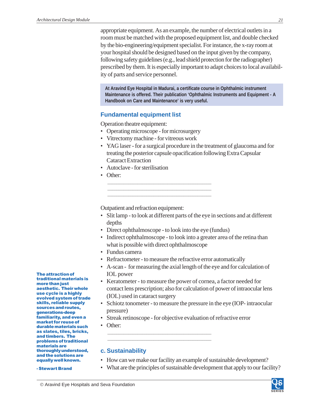<span id="page-21-0"></span>appropriate equipment. As an example, the number of electrical outlets in a room must be matched with the proposed equipment list, and double checked by the bio-engineering/equipment specialist. For instance, the x-ray room at your hospital should be designed based on the input given by the company, following safety guidelines (e.g., lead shield protection for the radiographer) prescribed by them. It is especially important to adapt choices to local availability of parts and service personnel.

**At Aravind Eye Hospital in Madurai, a certificate course in Ophthalmic instrument Maintenance is offered. Their publication 'Ophthalmic Instruments and Equipment - A Handbook on Care and Maintenance' is very useful.**

#### **Fundamental equipment list**

Operation theatre equipment:

- Operating microscope for microsurgery
- Vitrectomy machine for vitreous work
- YAG laser for a surgical procedure in the treatment of glaucoma and for treating the posterior capsule opacification following Extra Capsular Cataract Extraction
- Autoclave for sterilisation
- Other:

Outpatient and refraction equipment:

- Slit lamp to look at different parts of the eye in sections and at different depths
- Direct ophthalmoscope to look into the eye (fundus)

**\_\_\_\_\_\_\_\_\_\_\_\_\_\_\_\_\_\_\_\_\_\_\_\_\_\_\_\_\_\_\_\_\_\_\_\_\_\_\_\_\_\_\_\_\_ \_\_\_\_\_\_\_\_\_\_\_\_\_\_\_\_\_\_\_\_\_\_\_\_\_\_\_\_\_\_\_\_\_\_\_\_\_\_\_\_\_\_\_\_\_ \_\_\_\_\_\_\_\_\_\_\_\_\_\_\_\_\_\_\_\_\_\_\_\_\_\_\_\_\_\_\_\_\_\_\_\_\_\_\_\_\_\_\_\_\_**

- Indirect ophthalmoscope to look into a greater area of the retina than what is possible with direct ophthalmoscope
- Fundus camera
- Refractometer to measure the refractive error automatically
- A-scan for measuring the axial length of the eye and for calculation of IOL power
- Keratometer to measure the power of cornea, a factor needed for contact lens prescription; also for calculation of power of intraocular lens (IOL) used in cataract surgery
- Schiotz tonometer to measure the pressure in the eye (IOP- intraocular pressure)
- Streak retinoscope for objective evaluation of refractive error

**\_\_\_\_\_\_\_\_\_\_\_\_\_\_\_\_\_\_\_\_\_\_\_\_\_\_\_\_\_\_\_\_\_\_\_\_\_\_\_\_\_\_\_\_\_ \_\_\_\_\_\_\_\_\_\_\_\_\_\_\_\_\_\_\_\_\_\_\_\_\_\_\_\_\_\_\_\_\_\_\_\_\_\_\_\_\_\_\_\_\_**

• Other:

#### **c. Sustainability**

- How can we make our facility an example of sustainable development?
- What are the principles of sustainable development that apply to our facility?

The attraction of traditional materials is more than just aesthetic. Their whole use cycle is a highly evolved system of trade skills, reliable supply sources and routes, generations-deep familiarity, and even a market for reuse of durable materials such as slates, tiles, bricks, and timbers. The problems of traditional materials are thoroughly understood, and the solutions are equally well known.

- Stewart Brand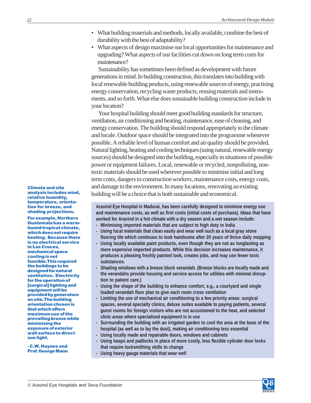- What building materials and methods, locally available, combine the best of durability with the best of adaptability?
- What aspects of design maximise our local opportunities for maintenance and upgrading? What aspects of our facilities cut down on long term costs for maintenance?

Sustainability has sometimes been defined as development with future generations in mind. In building construction, this translates into building with local renewable building products, using renewable sources of energy, practising energy conservation, recycling waste products, reusing materials and instruments, and so forth. What else does sustainable building construction include in your location?

Your hospital building should meet good building standards for structure, ventilation, air conditioning and heating, maintenance, ease of cleaning, and energy conservation. The building should respond appropriately to the climate and locale. Outdoor space should be integrated into the programme whenever possible. A reliable level of human comfort and air quality should be provided. Natural lighting, heating and cooling techniques (using natural, renewable energy sources) should be designed into the building, especially in situations of possible power or equipment failures. Local, renewable or recycled, nonpolluting, nontoxic materials should be used wherever possible to minimise initial and long term costs, dangers to construction workers, maintenance costs, energy costs, and damage to the environment. In many locations, renovating an existing building will be a choice that is both sustainable and economical.

**Aravind Eye Hospital in Madurai, has been carefully designed to minimise energy use and maintenance costs, as well as first costs (initial costs of purchase). Ideas that have worked for Aravind in a hot climate with a dry season and a wet season include:**

- **Minimising imported materials that are subject to high duty in India**
- **Using local materials that clean easily and wear well such as a local gray stone flooring tile which continues to look handsome after 20 years of thrice daily mopping**
- **Using locally available paint products, even though they are not as longlasting as more expensive imported products. While this decision increases maintenance, it produces a pleasing freshly painted look, creates jobs, and may use fewer toxic substances.**
- **Shading windows with a breeze block verandah. (Breeze blocks are locally made and the verandahs provide housing and service access for utilities with minimal disruption to patient care.)**
- **Using the shape of the building to enhance comfort, e.g., a courtyard and single loaded verandah floor plan to give each room cross ventilation**
- **Limiting the use of mechanical air conditioning to a few priority areas: surgical spaces, several specialty clinics, deluxe suites available to paying patients, several guest rooms for foreign visitors who are not accustomed to the heat, and selected clinic areas where specialised equipment is in use**
- **Surrounding the building with an irrigated garden to cool the area at the base of the hospital (as well as to lay the dust), making air conditioning less essential**
- **Using locally made and repairable doors, windows and cabinets**
- **Using hasps and padlocks in place of more costly, less flexible cylinder door locks that require locksmithing skills to change**
- **Using heavy gauge materials that wear well**

Climate and site analysis includes wind, relative humidity, temperature, orientation for breeze, and shading projections.

For example, Northern <u>Guatemala has a warm-</u> humid tropical climate, which does not require heating. Because there is no electrical service in Las Cruces, mechanical space cooling is not feasible.This required the buildings to be designed for natural ventilation. Electricity for the operation of [surgical] lighting and equipment will be provided by generators on site.The building <u>orientation chosen is</u> that which offers maximum use of the prevailing breeze while minimising the exposure of exterior wall surface to direct sun light.

- C.W. Haynes and Prof. George Mann

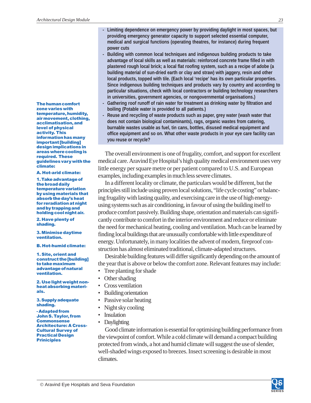The human comfort zone varies wi<mark>t</mark>h temperature, humidity, air movement, clothing, acclimatisation, and level of physical activity. This information has many important [building] design implications in areas where cooling is required. These guidelines vary with the climate:

#### A. Hot-arid climate:

1. Take advantage of the broad daily temperature variation by using materials that absorb the day's heat for reradiation at night and by trapping and holding cool night air.

2. Have plenty of shading.

3. Minimise daytime ventilation.

#### B. Hot-humid climate:

1. Site, orient and construct the [building] to take maximum advantage of natural ventilation.

2. Use light weight nonheat absorbing materials.

3. Supply adequate shading.

- Adapted from John S. Taylor, from **Commonsense** Architecture: A Cross-**Cultural Survey of** Practical Design Priniciples

- **Limiting dependence on emergency power by providing daylight in most spaces, but providing emergency generator capacity to support selected essential computer, medical and surgical functions (operating theatres, for instance) during frequent power cuts**
- **Building with common local techniques and indigenous building products to take advantage of local skills as well as materials: reinforced concrete frame filled in with plastered rough local brick; a local flat roofing system, such as a recipe of adobe (a building material of sun-dried earth or clay and straw) with jaggery, resin and other local products, topped with tile. (Each local 'recipe' has its own particular properties. Since indigenous building techniques and products vary by country and according to particular situations, check with local contractors or building technology researchers in universities, government agencies, or nongovernmental organisations.)**
- **Gathering roof runoff of rain water for treatment as drinking water by filtration and boiling (Potable water is provided to all patients.)**
- **Reuse and recycling of waste products such as paper, grey water (wash water that does not contain biological contaminants), rags, organic wastes from catering, burnable wastes usable as fuel, tin cans, bottles, disused medical equipment and office equipment and so on. What other waste products in your eye care facility can you reuse or recycle?**

The overall environment is one of frugality, comfort, and support for excellent medical care. Aravind Eye Hospital's high quality medical environment uses very little energy per square metre or per patient compared to U.S. and European examples, including examples in much less severe climates.

In a different locality or climate, the particulars would be different, but the principles still include using proven local solutions, "life cycle costing" or balancing frugality with lasting quality, and exercising care in the use of high energyusing systems such as air conditioning, in favour of using the building itself to produce comfort passively. Building shape, orientation and materials can significantly contribute to comfort in the interior environment and reduce or eliminate the need for mechanical heating, cooling and ventilation. Much can be learned by finding local buildings that are unusually comfortable with little expenditure of energy. Unfortunately, in many localities the advent of modern, fireproof construction has almost eliminated traditional, climate-adapted structures.

Desirable building features will differ significantly depending on the amount of the year that is above or below the comfort zone. Relevant features may include:

- Tree planting for shade
- Other shading
- Cross ventilation
- Building orientation
- Passive solar heating
- Night sky cooling
- Insulation
- Daylighting

Good climate information is essential for optimising building performance from the viewpoint of comfort. While a cold climate will demand a compact building protected from winds, a hot and humid climate will suggest the use of slender, well-shaded wings exposed to breezes. Insect screening is desirable in most climates.

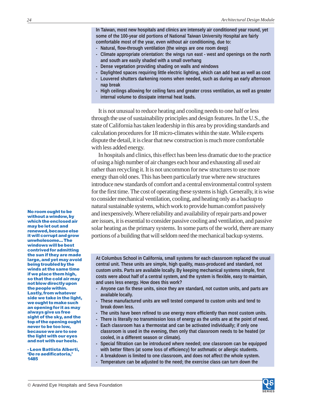**In Taiwan, most new hospitals and clinics are intensely air conditioned year round, yet some of the 100-year old portions of National Taiwan University Hospital are fairly comfortable most of the year, even without air conditioning, due to:**

- **Natural, flow-through ventilation (the wings are one room deep)**
- **Climate appropriate orientation: the wings run east west and openings on the north and south are easily shaded with a small overhang**
- **Dense vegetation providing shading on walls and windows**
- **Daylighted spaces requiring little electric lighting, which can add heat as well as cost**
- **Louvered shutters darkening rooms when needed, such as during an early afternoon nap break**
- **High ceilings allowing for ceiling fans and greater cross ventilation, as well as greater internal volume to dissipate internal heat loads.**

It is not unusual to reduce heating and cooling needs to one half or less through the use of sustainability principles and design features. In the U.S., the state of California has taken leadership in this area by providing standards and calculation procedures for 18 micro-climates within the state. While experts dispute the detail, it is clear that new construction is much more comfortable with less added energy.

In hospitals and clinics, this effect has been less dramatic due to the practice of using a high number of air changes each hour and exhausting all used air rather than recycling it. It is not uncommon for new structures to use more energy than old ones. This has been particularly true where new structures introduce new standards of comfort and a central environmental control system for the first time. The cost of operating these systems is high. Generally, it is wise to consider mechanical ventilation, cooling, and heating only as a backup to natural sustainable systems, which work to provide human comfort passively and inexpensively. Where reliability and availability of repair parts and power are issues, it is essential to consider passive cooling and ventilation, and passive solar heating as the primary systems. In some parts of the world, there are many portions of a building that will seldom need the mechanical backup systems.

**At Columbus School in California, small systems for each classroom replaced the usual central unit. These units are simple, high quality, mass-produced and standard, not custom units. Parts are available locally. By keeping mechanical systems simple, first costs were about half of a central system, and the system is flexible, easy to maintain, and uses less energy. How does this work?**

- **Anyone can fix these units, since they are standard, not custom units, and parts are available locally.**
- **These manufactured units are well tested compared to custom units and tend to break down less.**
- **The units have been refined to use energy more efficiently than most custom units.**
- **There is literally no transmission loss of energy as the units are at the point of need.**
- **Each classroom has a thermostat and can be activated individually; if only one classroom is used in the evening, then only that classroom needs to be heated (or cooled, in a different season or climate).**
- **Special filtration can be introduced where needed; one classroom can be equipped with better filters (at some loss of efficiency) for asthmatic or allergic students.**
- **A breakdown is limited to one classroom, and does not affect the whole system.**
- **Temperature can be adjusted to the need; the exercise class can turn down the**

No room ought to be without a window, by which the enclosed air may be let out and renewed, because else it will corrupt and grow unwholesome... The windows will be best contrived for admitting the sun if they are made large, and yet may avoid being troubled by the winds at the same time if we place them high, so that the cold air may not blow directly upon the people within. Lastly, from whatever side we take in the light, we ought to make such an opening for it as may always give us free sight of the sky, and the top of the opening ought never to be too low, because we are to see the light with our eyes and not with our heels.

- Leon Battista Alberti, 'De re aedificatoria,' 1485

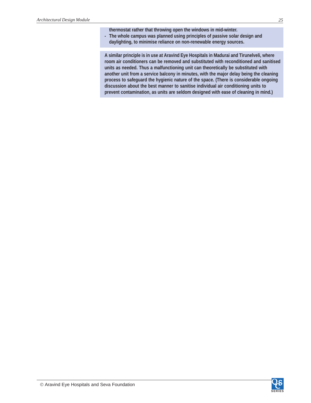**thermostat rather that throwing open the windows in mid-winter.**

**- The whole campus was planned using principles of passive solar design and daylighting, to minimise reliance on non-renewable energy sources.**

**A similar principle is in use at Aravind Eye Hospitals in Madurai and Tirunelveli, where room air conditioners can be removed and substituted with reconditioned and sanitised units as needed. Thus a malfunctioning unit can theoretically be substituted with another unit from a service balcony in minutes, with the major delay being the cleaning process to safeguard the hygienic nature of the space. (There is considerable ongoing discussion about the best manner to sanitise individual air conditioning units to prevent contamination, as units are seldom designed with ease of cleaning in mind.)**

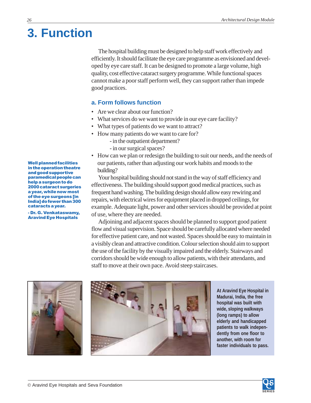# <span id="page-26-0"></span>**3. Function**

The hospital building must be designed to help staff work effectively and efficiently. It should facilitate the eye care programme as envisioned and developed by eye care staff. It can be designed to promote a large volume, high quality, cost effective cataract surgery programme. While functional spaces cannot make a poor staff perform well, they can support rather than impede good practices.

#### **a. Form follows function**

- Are we clear about our function?
- What services do we want to provide in our eye care facility?
- What types of patients do we want to attract?
- How many patients do we want to care for?
	- in the outpatient department?
	- in our surgical spaces?
- How can we plan or redesign the building to suit our needs, and the needs of our patients, rather than adjusting our work habits and moods to the building?

Your hospital building should not stand in the way of staff efficiency and effectiveness. The building should support good medical practices, such as frequent hand washing. The building design should allow easy rewiring and repairs, with electrical wires for equipment placed in dropped ceilings, for example. Adequate light, power and other services should be provided at point of use, where they are needed.

Adjoining and adjacent spaces should be planned to support good patient flow and visual supervision. Space should be carefully allocated where needed for effective patient care, and not wasted. Spaces should be easy to maintain in a visibly clean and attractive condition. Colour selection should aim to support the use of the facility by the visually impaired and the elderly. Stairways and corridors should be wide enough to allow patients, with their attendants, and staff to move at their own pace. Avoid steep staircases.





**At Aravind Eye Hospital in Madurai, India, the free hospital was built with wide, sloping walkways (long ramps) to allow elderly and handicapped patients to walk independently from one floor to another, with room for faster individuals to pass.**

in the operation theatre and good supportive paramedical people can help a surgeon to do 2000 cataract surgeries a year, while now most of the eye surgeons [in India] do fewer than 300 cataracts a year.

Well planned facilities

- Dr. G. Venkataswamy, Aravind Eye Hospitals

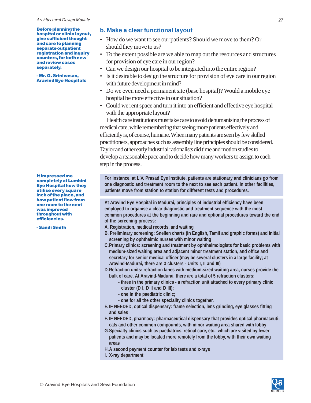<span id="page-27-0"></span>Before planning the hospital or clinic layout, give sufficient thought and care to planning separate outpatient registration and inquiry counters, for both new <u>and review cases</u> separately.

- Mr. G. Srinivasan, Aravind Eye Hospitals

<u>It impressed me</u> completely at Lumbini Eye Hospital how they utilise every square inch of the place, and how patient flow from one room to the next was improved throughout with efficiencies.

- Sandi Smith

#### **b. Make a clear functional layout**

- How do we want to see our patients? Should we move to them? Or should they move to us?
- To the extent possible are we able to map out the resources and structures for provision of eye care in our region?
- Can we design our hospital to be integrated into the entire region?
- Is it desirable to design the structure for provision of eye care in our region with future development in mind?
- Do we even need a permanent site (base hospital)? Would a mobile eye hospital be more effective in our situation?
- Could we rent space and turn it into an efficient and effective eye hospital with the appropriate layout?

Health care institutions must take care to avoid dehumanising the process of medical care, while remembering that seeing more patients effectively and efficiently is, of course, humane. When many patients are seen by few skilled practitioners, approaches such as assembly line principles should be considered. Taylor and other early industrial rationalists did time and motion studies to develop a reasonable pace and to decide how many workers to assign to each step in the process.

**For instance, at L.V. Prasad Eye Institute, patients are stationary and clinicians go from one diagnostic and treatment room to the next to see each patient. In other facilities, patients move from station to station for different tests and procedures.**

**At Aravind Eye Hospital in Madurai, principles of industrial efficiency have been employed to organise a clear diagnostic and treatment sequence with the most common procedures at the beginning and rare and optional procedures toward the end of the screening process:**

- **A. Registration, medical records, and waiting**
- **B. Preliminary screening: Snellen charts (in English, Tamil and graphic forms) and initial screening by ophthalmic nurses with minor waiting**
- **C.Primary clinics: screening and treatment by ophthalmologists for basic problems with medium-sized waiting area and adjacent minor treatment station, and office and secretary for senior medical officer (may be several clusters in a large facility; at Aravind-Madurai, there are 3 clusters - Units I, II and III)**
- **D.Refraction units: refraction lanes with medium-sized waiting area, nurses provide the bulk of care. At Aravind-Madurai, there are a total of 5 refraction clusters:**
	- **three in the primary clinics a refraction unit attached to every primary clinic cluster (D I, D II and D III);**
	- **one in the paediatric clinic;**
	- **one for all the other speciality clinics together.**
- **E. IF NEEDED, optical dispensary: frame selection, lens grinding, eye glasses fitting and sales**
- **F. IF NEEDED, pharmacy: pharmaceutical dispensary that provides optical pharmaceuticals and other common compounds, with minor waiting area shared with lobby**
- **G.Specialty clinics such as paediatrics, retinal care, etc., which are visited by fewer patients and may be located more remotely from the lobby, with their own waiting areas**
- **H.A second payment counter for lab tests and x-rays**
- **I. X-ray department**

**SERIES**  $\overline{\mathbf{c}}$ **-**

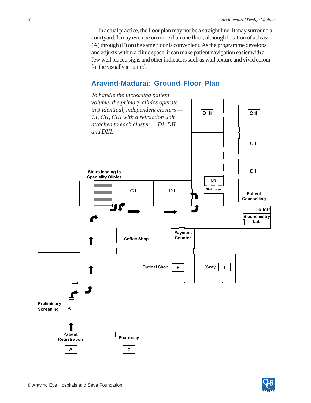In actual practice, the floor plan may not be a straight line. It may surround a courtyard. It may even be on more than one floor, although location of at least (A) through (F) on the same floor is convenient. As the programme develops and adjusts within a clinic space, it can make patient navigation easier with a few well placed signs and other indicators such as wall texture and vivid colour for the visually impaired.

### **Aravind-Madurai: Ground Floor Plan**





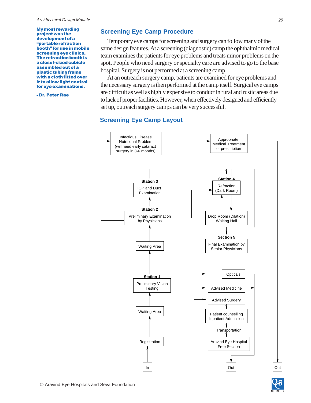**My most rewarding** project was the development of a "portable refraction booth" for use in mobile screening eye clinics. The refraction booth is a closet-sized cubicle assembled out of a plastic tubing frame with a cloth fitted over it to allow light control for eye examinations.

- Dr. Peter Rae

#### **Screening Eye Camp Procedure**

Temporary eye camps for screening and surgery can follow many of the same design features. At a screening (diagnostic) camp the ophthalmic medical team examines the patients for eye problems and treats minor problems on the spot. People who need surgery or specialty care are advised to go to the base hospital. Surgery is not performed at a screening camp.

At an outreach surgery camp, patients are examined for eye problems and the necessary surgery is then performed at the camp itself. Surgical eye camps are difficult as well as highly expensive to conduct in rural and rustic areas due to lack of proper facilities. However, when effectively designed and efficiently set up, outreach surgery camps can be very successful.

#### **Screening Eye Camp Layout**



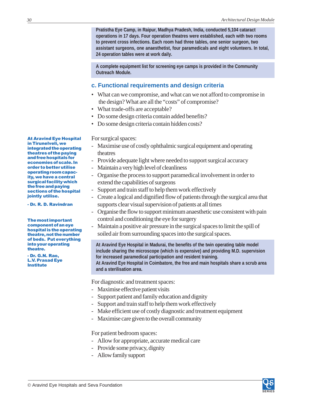<span id="page-30-0"></span>**Pratistha Eye Camp, in Raipur, Madhya Pradesh, India, conducted 5,104 cataract operations in 17 days. Four operation theatres were established, each with two rooms to prevent cross infections. Each room had three tables, one senior surgeon, two assistant surgeons, one anaesthetist, four paramedicals and eight volunteers. In total, 24 operation tables were at work daily.**

**A complete equipment list for screening eye camps is provided in the Community Outreach Module.**

#### **c. Functional requirements and design criteria**

- What can we compromise, and what can we not afford to compromise in the design? What are all the "costs" of compromise?
- What trade-offs are acceptable?
- Do some design criteria contain added benefits?
- Do some design criteria contain hidden costs?

For surgical spaces:

- Maximise use of costly ophthalmic surgical equipment and operating theatres
- Provide adequate light where needed to support surgical accuracy
- Maintain a very high level of cleanliness
- Organise the process to support paramedical involvement in order to extend the capabilities of surgeons
- Support and train staff to help them work effectively
- Create a logical and dignified flow of patients through the surgical area that supports clear visual supervision of patients at all times
- Organise the flow to support minimum anaesthetic use consistent with pain control and conditioning the eye for surgery
- Maintain a positive air pressure in the surgical spaces to limit the spill of soiled air from surrounding spaces into the surgical spaces.

**At Aravind Eye Hospital in Madurai, the benefits of the twin operating table model include sharing the microscope (which is expensive) and providing M.D. supervision for increased paramedical participation and resident training. At Aravind Eye Hospital in Coimbatore, the free and main hospitals share a scrub area and a sterilisation area.**

For diagnostic and treatment spaces:

- Maximise effective patient visits
- Support patient and family education and dignity
- Support and train staff to help them work effectively
- Make efficient use of costly diagnostic and treatment equipment
- Maximise care given to the overall community

For patient bedroom spaces:

- Allow for appropriate, accurate medical care
- Provide some privacy, dignity
- Allow family support

At Aravind Eye Hospital in Tirunelveli, we integrated the operating theatres of the paying and free hospitals for economies of scale. In order to better utilise operating room capacity, we have a central surgical facility which the free and paying sections of the hospital jointly utilise.

- Dr. R. D. Ravindran

The most important component of an eye hospital is the operating theatre, not the number of beds. Put everything into your operating theatre.

- Dr. G.N. Rao. L.V. Prasad Eye **Institute** 

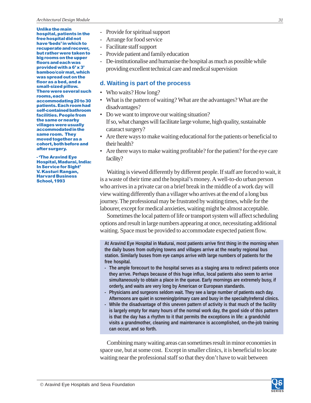<span id="page-31-0"></span>Unlike the main hospital, patients in the free hospital did not have 'beds' in which to recuperate and recover, but rather were taken to big rooms on the upper floors and each was provided with a 6' x 3' bamboo/coir mat, which was spread out on the floor as a bed, and a small-sized pillow. There were several such rooms, each accommodating 20 to 30 patients. Each room had self-contained bathroom facilities. People from the same or nearby villages were usually accommodated in the same room. They moved together as a cohort, both before and after surgery.

- 'The Aravind Eye Hospital, Madurai, India: In Service for Sight' V. Kasturi Rangan, **Harvard Business** School, 1993

- Provide for spiritual support
- Arrange for food service
- Facilitate staff support
- Provide patient and family education
- De-institutionalise and humanise the hospital as much as possible while providing excellent technical care and medical supervision

#### **d. Waiting is part of the process**

- Who waits? How long?
- What is the pattern of waiting? What are the advantages? What are the disadvantages?
- Do we want to improve our waiting situation? If so, what changes will facilitate large volume, high quality, sustainable cataract surgery?
- Are there ways to make waiting educational for the patients or beneficial to their health?
- Are there ways to make waiting profitable? for the patient? for the eye care facility?

Waiting is viewed differently by different people. If staff are forced to wait, it is a waste of their time and the hospital's money. A well-to-do urban person who arrives in a private car on a brief break in the middle of a work day will view waiting differently than a villager who arrives at the end of a long bus journey. The professional may be frustrated by waiting times, while for the labourer, except for medical anxieties, waiting might be almost acceptable.

Sometimes the local pattern of life or transport system will affect scheduling options and result in large numbers appearing at once, necessitating additional waiting. Space must be provided to accommodate expected patient flow.

**At Aravind Eye Hospital in Madurai, most patients arrive first thing in the morning when the daily buses from outlying towns and villages arrive at the nearby regional bus station. Similarly buses from eye camps arrive with large numbers of patients for the free hospital.**

- **The ample forecourt to the hospital serves as a staging area to redirect patients once they arrive. Perhaps because of this huge influx, local patients also seem to arrive simultaneously to obtain a place in the queue. Early mornings are extremely busy, if orderly, and waits are very long by American or European standards.**
- **Physicians and surgeons seldom wait. They see a large number of patients each day. Afternoons are quiet in screening/primary care and busy in the specialty/referral clinics.**
- **While the disadvantage of this uneven pattern of activity is that much of the facility is largely empty for many hours of the normal work day, the good side of this pattern is that the day has a rhythm to it that permits the exceptions in life: a grandchild visits a grandmother, cleaning and maintenance is accomplished, on-the-job training can occur, and so forth.**

Combining many waiting areas can sometimes result in minor economies in space use, but at some cost. Except in smaller clinics, it is beneficial to locate waiting near the professional staff so that they don't have to wait between

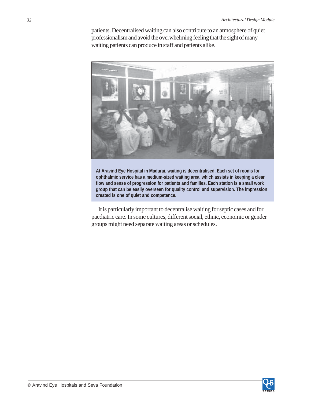patients. Decentralised waiting can also contribute to an atmosphere of quiet professionalism and avoid the overwhelming feeling that the sight of many waiting patients can produce in staff and patients alike.



**At Aravind Eye Hospital in Madurai, waiting is decentralised. Each set of rooms for ophthalmic service has a medium-sized waiting area, which assists in keeping a clear flow and sense of progression for patients and families. Each station is a small work group that can be easily overseen for quality control and supervision. The impression created is one of quiet and competence.**

It is particularly important to decentralise waiting for septic cases and for paediatric care. In some cultures, different social, ethnic, economic or gender groups might need separate waiting areas or schedules.

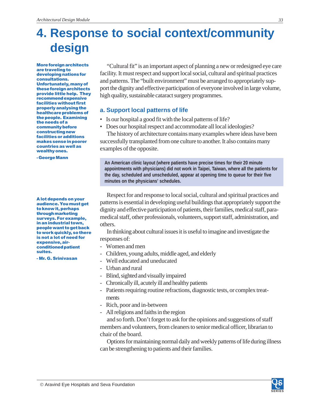# <span id="page-33-0"></span>**4. Response to social context/community design**

<u>More foreign architects</u> are traveling to developing nations for consultations. Unfortunately, many of these foreign architects provide little help. They <u>recommend expensive</u> facilities without first properly analysing the healthcare problems of the people. Examining the needs of a community before constructing new facilities or additions makes sense in poorer countries as well as wealthy ones.

- George Mann

**A** lot depends on your audience. You must get to know it, perhaps through marketing surveys. For example, in an industrial town, people want to get back to work quickly, so there is not a lot of need for expensive, airconditioned patient suites.

- Mr. G. Srinivasan

"Cultural fit" is an important aspect of planning a new or redesigned eye care facility. It must respect and support local social, cultural and spiritual practices and patterns. The "built environment" must be arranged to appropriately support the dignity and effective participation of everyone involved in large volume, high quality, sustainable cataract surgery programmes.

#### **a. Support local patterns of life**

- Is our hospital a good fit with the local patterns of life?
- Does our hospital respect and accommodate all local ideologies?

The history of architecture contains many examples where ideas have been successfully transplanted from one culture to another. It also contains many examples of the opposite.

**An American clinic layout (where patients have precise times for their 20 minute appointments with physicians) did not work in Taipei, Taiwan, where all the patients for the day, scheduled and unscheduled, appear at opening time to queue for their five minutes on the physicians' schedules.**

Respect for and response to local social, cultural and spiritual practices and patterns is essential in developing useful buildings that appropriately support the dignity and effective participation of patients, their families, medical staff, paramedical staff, other professionals, volunteers, support staff, administration, and others.

In thinking about cultural issues it is useful to imagine and investigate the responses of:

- Women and men
- Children, young adults, middle aged, and elderly
- Well educated and uneducated
- Urban and rural
- Blind, sighted and visually impaired
- Chronically ill, acutely ill and healthy patients
- Patients requiring routine refractions, diagnostic tests, or complex treatments
- Rich, poor and in-between
- All religions and faiths in the region

and so forth. Don't forget to ask for the opinions and suggestions of staff members and volunteers, from cleaners to senior medical officer, librarian to chair of the board.

Options for maintaining normal daily and weekly patterns of life during illness can be strengthening to patients and their families.

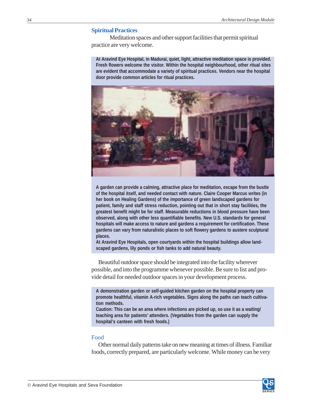#### **Spiritual Practices**

Meditation spaces and other support facilities that permit spiritual practice are very welcome.

**At Aravind Eye Hospital, in Madurai, quiet, light, attractive meditation space is provided. Fresh flowers welcome the visitor. Within the hospital neighbourhood, other ritual sites are evident that accommodate a variety of spiritual practices. Vendors near the hospital door provide common articles for ritual practices.**



**A garden can provide a calming, attractive place for meditation, escape from the bustle of the hospital itself, and needed contact with nature. Claire Cooper Marcus writes (in her book on Healing Gardens) of the importance of green landscaped gardens for patient, family and staff stress reduction, pointing out that in short stay facilities, the greatest benefit might be for staff. Measurable reductions in blood pressure have been observed, along with other less quantifiable benefits. New U.S. standards for general hospitals will make access to nature and gardens a requirement for certification. These gardens can vary from naturalistic places to soft flowery gardens to austere sculptural places.**

**At Aravind Eye Hospitals, open courtyards within the hospital buildings allow landscaped gardens, lily ponds or fish tanks to add natural beauty.**

Beautiful outdoor space should be integrated into the facility wherever possible, and into the programme whenever possible. Be sure to list and provide detail for needed outdoor spaces in your development process.

**A demonstration garden or self-guided kitchen garden on the hospital property can promote healthful, vitamin A-rich vegetables. Signs along the paths can teach cultivation methods.**

**Caution: This can be an area where infections are picked up, so use it as a waiting/ teaching area for patients' attenders. (Vegetables from the garden can supply the hospital's canteen with fresh foods.)**

#### Food

Other normal daily patterns take on new meaning at times of illness. Familiar foods, correctly prepared, are particularly welcome. While money can be very

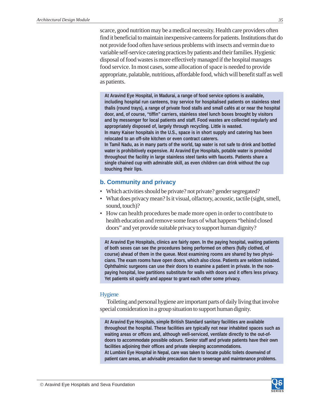<span id="page-35-0"></span>scarce, good nutrition may be a medical necessity. Health care providers often find it beneficial to maintain inexpensive canteens for patients. Institutions that do not provide food often have serious problems with insects and vermin due to variable self-service catering practices by patients and their families. Hygienic disposal of food wastes is more effectively managed if the hospital manages food service. In most cases, some allocation of space is needed to provide appropriate, palatable, nutritious, affordable food, which will benefit staff as well as patients.

**At Aravind Eye Hospital, in Madurai, a range of food service options is available, including hospital run canteens, tray service for hospitalised patients on stainless steel thalis (round trays), a range of private food stalls and small cafés at or near the hospital door, and, of course, "tiffin" carriers, stainless steel lunch boxes brought by visitors and by messenger for local patients and staff. Food wastes are collected regularly and appropriately disposed of, largely through recycling. Little is wasted. In many Kaiser hospitals in the U.S., space is in short supply and catering has been relocated to an off-site kitchen or even contract caterers.**

**In Tamil Nadu, as in many parts of the world, tap water is not safe to drink and bottled water is prohibitively expensive. At Aravind Eye Hospitals, potable water is provided throughout the facility in large stainless steel tanks with faucets. Patients share a single chained cup with admirable skill, as even children can drink without the cup touching their lips.**

#### **b. Community and privacy**

- Which activities should be private? not private? gender segregated?
- What does privacy mean? Is it visual, olfactory, acoustic, tactile (sight, smell, sound, touch)?
- How can health procedures be made more open in order to contribute to health education and remove some fears of what happens "behind closed doors" and yet provide suitable privacy to support human dignity?

**At Aravind Eye Hospitals, clinics are fairly open. In the paying hospital, waiting patients of both sexes can see the procedures being performed on others (fully clothed, of course) ahead of them in the queue. Most examining rooms are shared by two physicians. The exam rooms have open doors, which also close. Patients are seldom isolated. Ophthalmic surgeons can use their doors to examine a patient in private. In the nonpaying hospital, low partitions substitute for walls with doors and it offers less privacy. Yet patients sit quietly and appear to grant each other some privacy.**

#### **Hygiene**

Toileting and personal hygiene are important parts of daily living that involve special consideration in a group situation to support human dignity.

**At Aravind Eye Hospitals, simple British Standard sanitary facilities are available throughout the hospital. These facilities are typically not near inhabited spaces such as waiting areas or offices and, although well-serviced, ventilate directly to the out-ofdoors to accommodate possible odours. Senior staff and private patients have their own facilities adjoining their offices and private sleeping accommodations. At Lumbini Eye Hospital in Nepal, care was taken to locate public toilets downwind of patient care areas, an advisable precaution due to sewerage and maintenance problems.**

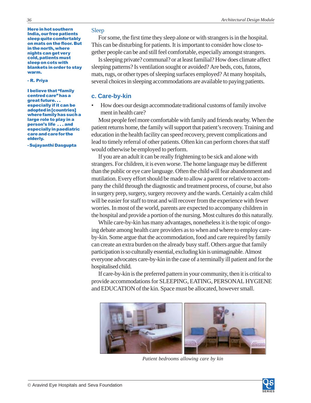<span id="page-36-0"></span><u>Here in hot southern</u> India, our free patients sleep quite comfortably on mats on the floor. But in the north, where nights can get very cold, patients must sleep on cots with blankets in order to stay warm.

#### - R. Priya

I believe that "family centred care" has a great future. . . especially if it can be adopted in [countries] where family has such a large role to play in a person's life ... and especially in paediatric care and care for the elderly.

- Sujayanthi Dasgupta

#### Sleep

For some, the first time they sleep alone or with strangers is in the hospital. This can be disturbing for patients. It is important to consider how close together people can be and still feel comfortable, especially amongst strangers.

Is sleeping private? communal? or at least familial? How does climate affect sleeping patterns? Is ventilation sought or avoided? Are beds, cots, futons, mats, rugs, or other types of sleeping surfaces employed? At many hospitals, several choices in sleeping accommodations are available to paying patients.

#### **c. Care-by-kin**

• How does our design accommodate traditional customs of family involve ment in health care?

Most people feel more comfortable with family and friends nearby. When the patient returns home, the family will support that patient's recovery. Training and education in the health facility can speed recovery, prevent complications and lead to timely referral of other patients. Often kin can perform chores that staff would otherwise be employed to perform.

If you are an adult it can be really frightening to be sick and alone with strangers. For children, it is even worse. The home language may be different than the public or eye care language. Often the child will fear abandonment and mutilation. Every effort should be made to allow a parent or relative to accompany the child through the diagnostic and treatment process, of course, but also in surgery prep, surgery, surgery recovery and the wards. Certainly a calm child will be easier for staff to treat and will recover from the experience with fewer worries. In most of the world, parents are expected to accompany children in the hospital and provide a portion of the nursing. Most cultures do this naturally.

While care-by-kin has many advantages, nonetheless it is the topic of ongoing debate among health care providers as to when and where to employ careby-kin. Some argue that the accommodation, food and care required by family can create an extra burden on the already busy staff. Others argue that family participation is so culturally essential, excluding kin is unimaginable. Almost everyone advocates care-by-kin in the case of a terminally ill patient and for the hospitalised child.

If care-by-kin is the preferred pattern in your community, then it is critical to provide accommodations for SLEEPING, EATING, PERSONAL HYGIENE and EDUCATION of the kin. Space must be allocated, however small.



*Patient bedrooms allowing care by kin*

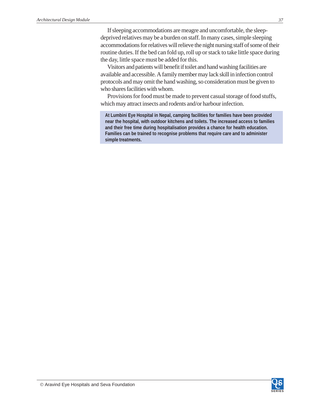If sleeping accommodations are meagre and uncomfortable, the sleepdeprived relatives may be a burden on staff. In many cases, simple sleeping accommodations for relatives will relieve the night nursing staff of some of their routine duties. If the bed can fold up, roll up or stack to take little space during the day, little space must be added for this.

Visitors and patients will benefit if toilet and hand washing facilities are available and accessible. A family member may lack skill in infection control protocols and may omit the hand washing, so consideration must be given to who shares facilities with whom.

Provisions for food must be made to prevent casual storage of food stuffs, which may attract insects and rodents and/or harbour infection.

**At Lumbini Eye Hospital in Nepal, camping facilities for families have been provided near the hospital, with outdoor kitchens and toilets. The increased access to families and their free time during hospitalisation provides a chance for health education. Families can be trained to recognise problems that require care and to administer simple treatments.**

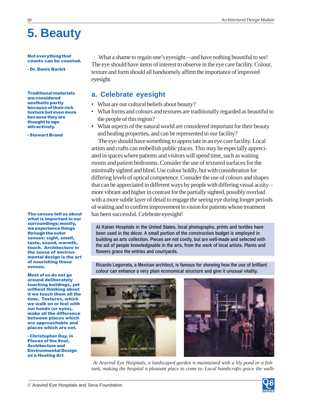# <span id="page-38-0"></span>**5. Beauty**

Not everything that counts can be counted.

<u>- Dr. Denis Burkit</u>

Traditional materials <u>are considered</u> aesthetic partly because of their rich texture but even more because they are thought to age attractively.

- Stewart Brand

The senses tell us about what is important in our surroundings; mostly, we experience things through the outer senses: sight, smell, taste, sound, warmth, touch. Architecture in the sense of environmental design is the art of nourishing these senses.

Most of us do not go around deliberately touching buildings, yet without thinking about it we touch them all the time. Textures, which we walk on or feel with our hands (or eyes), make all the difference between places which are approachable and places which are not.

- Christopher Day, in Places of the Soul, Architecture and <u>Environmental Design</u> as a Healing Art

What a shame to regain one's eyesight—and have nothing beautiful to see! The eye should have items of interest to observe in the eye care facility. Colour, texture and form should all handsomely affirm the importance of improved eyesight.

### **a. Celebrate eyesight**

- What are our cultural beliefs about beauty?
- What forms and colours and textures are traditionally regarded as beautiful to the people of this region?
- What aspects of the natural world are considered important for their beauty and healing properties, and can be represented in our facility?

The eye should have something to appreciate in an eye care facility. Local artists and crafts can embellish public places. This may be especially appreciated in spaces where patients and visitors will spend time, such as waiting rooms and patient bedrooms. Consider the use of textured surfaces for the minimally sighted and blind. Use colour boldly, but with consideration for differing levels of optical competence. Consider the use of colours and shapes that can be appreciated in different ways by people with differing visual acuity – more vibrant and higher in contrast for the partially sighted, possibly overlaid with a more subtle layer of detail to engage the seeing eye during longer periods of waiting and to confirm improvement in vision for patients whose treatment has been successful. Celebrate eyesight!

**At Kaiser Hospitals in the United States, local photographs, prints and textiles have been used in the décor. A small portion of the construction budget is employed in building an arts collection. Pieces are not costly, but are well-made and selected with the aid of people knowledgeable in the arts, from the work of local artists. Plants and flowers grace the entries and courtyards.**

**Ricardo Legorreta, a Mexican architect, is famous for showing how the use of brilliant colour can enhance a very plain economical structure and give it unusual vitality.**



*At Aravind Eye Hospitals, a landscaped garden is maintained with a lily pond or a fish tank, making the hospital a pleasant place to come to. Local handicrafts grace the walls*

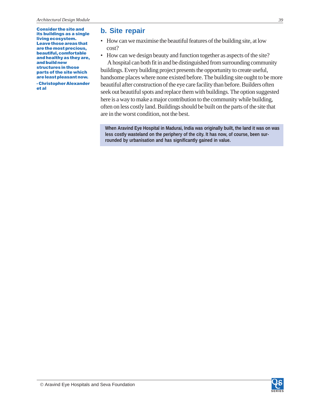<span id="page-39-0"></span>**Consider the site and** its buildings as a single living ecosystem. Leave those areas that are the most precious, beautiful, comfortable and healthy as they are, and build new structures in those parts of the site which are least pleasant now.

- Christopher Alexander et al

#### **b. Site repair**

- How can we maximise the beautiful features of the building site, at low cost?
- How can we design beauty and function together as aspects of the site?

A hospital can both fit in and be distinguished from surrounding community buildings. Every building project presents the opportunity to create useful, handsome places where none existed before. The building site ought to be more beautiful after construction of the eye care facility than before. Builders often seek out beautiful spots and replace them with buildings. The option suggested here is a way to make a major contribution to the community while building, often on less costly land. Buildings should be built on the parts of the site that are in the worst condition, not the best.

**When Aravind Eye Hospital in Madurai, India was originally built, the land it was on was less costly wasteland on the periphery of the city. It has now, of course, been surrounded by urbanisation and has significantly gained in value.**

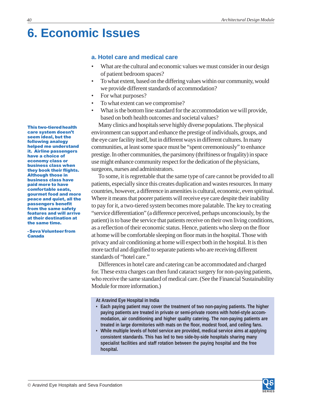# <span id="page-40-0"></span>**6. Economic Issues**

#### **a. Hotel care and medical care**

- What are the cultural and economic values we must consider in our design of patient bedroom spaces?
- To what extent, based on the differing values within our community, would we provide different standards of accommodation?
- For what purposes?
- To what extent can we compromise?
- What is the bottom line standard for the accommodation we will provide, based on both health outcomes and societal values?

Many clinics and hospitals serve highly diverse populations. The physical environment can support and enhance the prestige of individuals, groups, and the eye care facility itself, but in different ways in different cultures. In many communities, at least some space must be "spent ceremoniously" to enhance prestige. In other communities, the parsimony (thriftiness or frugality) in space use might enhance community respect for the dedication of the physicians, surgeons, nurses and administrators.

To some, it is regrettable that the same type of care cannot be provided to all patients, especially since this creates duplication and wastes resources. In many countries, however, a difference in amenities is cultural, economic, even spiritual. Where it means that poorer patients will receive eye care despite their inability to pay for it, a two-tiered system becomes more palatable. The key to creating "service differentiation" (a difference perceived, perhaps unconsciously, by the patient) is to base the service that patients receive on their own living conditions, as a reflection of their economic status. Hence, patients who sleep on the floor at home will be comfortable sleeping on floor mats in the hospital. Those with privacy and air conditioning at home will expect both in the hospital. It is then more tactful and dignified to separate patients who are receiving different standards of "hotel care."

Differences in hotel care and catering can be accommodated and charged for. These extra charges can then fund cataract surgery for non-paying patients, who receive the same standard of medical care. (See the Financial Sustainability Module for more information.)

#### **At Aravind Eye Hospital in India**

- **Each paying patient may cover the treatment of two non-paying patients. The higher paying patients are treated in private or semi-private rooms with hotel-style accommodation, air conditioning and higher quality catering. The non-paying patients are treated in large dormitories with mats on the floor, modest food, and ceiling fans.**
- **While multiple levels of hotel service are provided, medical service aims at applying consistent standards. This has led to two side-by-side hospitals sharing many specialist facilities and staff rotation between the paying hospital and the free hospital.**

This two-tiered health care system doesn't seem ideal, but the following analogy helped me understand it. Airline passengers have a choice of economy class or business class when they book their flights. Although those in business class have paid more to have comfortable seats, gourmet food and more peace and quiet, all the passengers benefit from the same safety features and will arrive at their destination at the same time<mark>.</mark>

- Seva Volunteer from **Canada** 

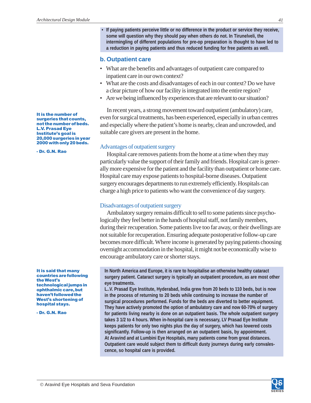<span id="page-41-0"></span>**• If paying patients perceive little or no difference in the product or service they receive, some will question why they should pay when others do not. In Tirunelveli, the intermingling of different populations for pre-op preparation is thought to have led to a reduction in paying patients and thus reduced funding for free patients as well.**

#### **b. Outpatient care**

- What are the benefits and advantages of outpatient care compared to inpatient care in our own context?
- What are the costs and disadvantages of each in our context? Do we have a clear picture of how our facility is integrated into the entire region?
- Are we being influenced by experiences that are relevant to our situation?

In recent years, a strong movement toward outpatient (ambulatory) care, even for surgical treatments, has been experienced, especially in urban centres and especially where the patient's home is nearby, clean and uncrowded, and suitable care givers are present in the home.

#### Advantages of outpatient surgery

Hospital care removes patients from the home at a time when they may particularly value the support of their family and friends. Hospital care is generally more expensive for the patient and the facility than outpatient or home care. Hospital care may expose patients to hospital-borne diseases. Outpatient surgery encourages departments to run extremely efficiently. Hospitals can charge a high price to patients who want the convenience of day surgery.

#### Disadvantages of outpatient surgery

Ambulatory surgery remains difficult to sell to some patients since psychologically they feel better in the hands of hospital staff, not family members, during their recuperation. Some patients live too far away, or their dwellings are not suitable for recuperation. Ensuring adequate postoperative follow-up care becomes more difficult. Where income is generated by paying patients choosing overnight accommodation in the hospital, it might not be economically wise to encourage ambulatory care or shorter stays.

**In North America and Europe, it is rare to hospitalise an otherwise healthy cataract surgery patient. Cataract surgery is typically an outpatient procedure, as are most other eye treatments.**

**L..V. Prasad Eye Institute, Hyderabad, India grew from 20 beds to 110 beds, but is now in the process of returning to 20 beds while continuing to increase the number of surgical procedures performed. Funds for the beds are diverted to better equipment. They have actively promoted the option of ambulatory care and now 60-70% of surgery for patients living nearby is done on an outpatient basis. The whole outpatient surgery takes 3 1/2 to 4 hours. When in-hospital care is necessary, LV Prasad Eye Institute keeps patients for only two nights plus the day of surgery, which has lowered costs significantly. Follow-up is then arranged on an outpatient basis, by appointment. At Aravind and at Lumbini Eye Hospitals, many patients come from great distances. Outpatient care would subject them to difficult dusty journeys during early convalescence, so hospital care is provided.**

<u>It is the number of</u> surgeries that counts, not the number of beds. L.V. Prasad Eye Institute's goal is 20,000 surgeries in year 2000 with only 20 beds.

- Dr. G.N. Rao

It is said that many countries are following the West's technological jumps in ophthalmic care, but haven't followed the West's shortening of hospital stays.

- Dr. G.N. Rao

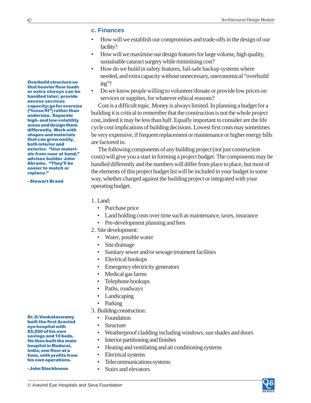#### **c. Finances**

- How will we establish our compromises and trade-offs in the design of our facility?
- How will we maximise our design features for large volume, high quality, sustainable cataract surgery while minimising cost?
- How do we build in safety features, fail-safe backup systems where needed, and extra capacity without unnecessary, uneconomical "overbuild ing"?
- Do we know people willing to volunteer/donate or provide low prices on services or supplies, for whatever ethical reasons?

Cost is a difficult topic. Money is always limited. In planning a budget for a building it is critical to remember that the construction is not the whole project cost, indeed it may be less than half. Equally important to consider are the life cycle cost implications of building decisions. Lowest first costs may sometimes be very expensive, if frequent replacement or maintenance or higher energy bills are factored in.

The following components of any building project (not just construction costs) will give you a start in forming a project budget. The components may be handled differently and the numbers will differ from place to place, but most of the elements of this project budget list will be included in your budget in some way, whether charged against the building project or integrated with your operating budget.

1. Land:

- Purchase price
- Land holding costs over time such as maintenance, taxes, insurance
- Pre-development planning and fees
- 2. Site development:
	- Water, potable water
	- Site drainage
	- Sanitary sewer and/or sewage treatment facilities
	- Electrical hookups
	- Emergency electricity generators
	- Medical gas farms
	- Telephone hookups
	- Paths, roadways
	- Landscaping
	- Parking
- 3. Building construction:
	- Foundation
	- Structure
	- Weatherproof cladding including windows, sun shades and doors
	- Interior partitioning and finishes
	- Heating and ventilating and air conditioning systems
	- Electrical systems
	- Telecommunications systems
	- Stairs and elevators

Dr. G.Venkataswamy built the first Aravind eye hospital with \$5,000 of his own savings and 10 beds. He then built the main hospital in Madurai, India, one floor at a time, with profits from

his own operations. - John Stackhouse



or extra storeys can be handled later; provide excess services capacity; go for oversize ("loose fit") rather than undersize. Separate high- and low-volatility areas and design them differently. Work with shapes and materials that can grow easily, both interior and exterior. "Use materials from near at hand," advises builder John Abrams. "They'll be easier to match or replace."

<span id="page-42-0"></span>Overbuild structure so that heavier floor loads

- Stewart Brand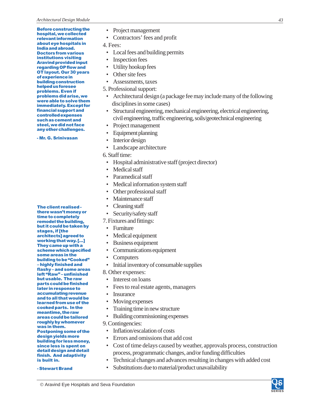**Before constructing the** hospital, we collected <u>relevant information</u> about eye hospitals in India and abroad. **Doctors from various institutions visiting** Aravind provided input regarding OP flow and OT layout. Our 30 years of experience in building construction helped us foresee problems. Even if problems did arise, we were able to solve them immediately. Except for financial support and controlled expenses such as cement and steel, we did not face any other challenges.

- Mr. G. Srinivasan

The client realised -

• Project management

• Contractors' fees and profit

4. Fees:

- Local fees and building permits
- Inspection fees
- Utility hookup fees
- Other site fees
- Assessments, taxes
- 5. Professional support:
- Architectural design (a package fee may include many of the following disciplines in some cases)
- Structural engineering, mechanical engineering, electrical engineering, civil engineering, traffic engineering, soils/geotechnical engineering
- Project management
- Equipment planning
- Interior design
- Landscape architecture

6. Staff time:

- Hospital administrative staff (project director)
- Medical staff
- Paramedical staff
- Medical information system staff
- Other professional staff
- Maintenance staff
- Cleaning staff
- Security/safety staff

7. Fixtures and fittings:

- Furniture
- Medical equipment
- Business equipment
- Communications equipment
- Computers
- Initial inventory of consumable supplies

8. Other expenses:

- Interest on loans
- Fees to real estate agents, managers
- Insurance
- Moving expenses
- Training time in new structure
- Building commissioning expenses
- 9. Contingencies:
	- Inflation/escalation of costs
- Errors and omissions that add cost
- Cost of time delays caused by weather, approvals process, construction process, programmatic changes, and/or funding difficulties
- Technical changes and advances resulting in changes with added cost
- Substitutions due to material/product unavailability

there wasn't money or time to completely remodel the building, but it could be taken by stages, if [the architects] agreed to working that way. [...] They came up with a scheme which specified some areas in the building to be "Cooked" – highly finished and flashy – and some areas left "Raw" – unfinished but usable. The raw parts could be finished <u>later in response to</u> accumulating revenue and to all that would be learned from use of the cooked parts. In the meantime, the raw areas could be tailored roughly by whomever was in them. Postponing some of the design yields more building for less money, since less is spent on detail design and detail finish. And adaptivity is built in. - Stewart Brand

Aravind Eye Hospitals and Seva Foundation

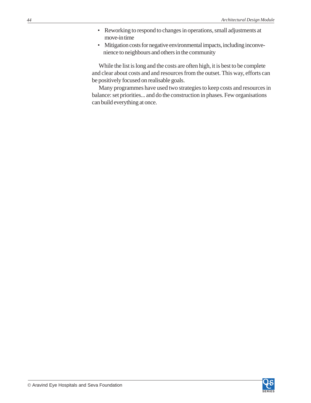- Reworking to respond to changes in operations, small adjustments at move-in time
- Mitigation costs for negative environmental impacts, including inconvenience to neighbours and others in the community

While the list is long and the costs are often high, it is best to be complete and clear about costs and and resources from the outset. This way, efforts can be positively focused on realisable goals.

Many programmes have used two strategies to keep costs and resources in balance: set priorities... and do the construction in phases. Few organisations can build everything at once.

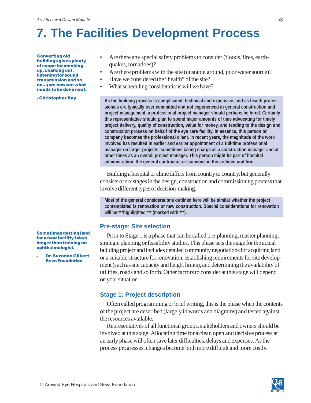# <span id="page-45-0"></span>**7. The Facilities Development Process**

**Converting old** buildings gives plenty of scope for mocking up, chalking out, listening for sound transmission and so on...; we can see what needs to be done next.

- Christopher Day

- Are there any special safety problems to consider (floods, fires, earthquakes, tornadoes)?
- Are there problems with the site (unstable ground, poor water source)?
- Have we considered the "health" of the site?
- What scheduling considerations will we have?

**As the building process is complicated, technical and expensive, and as health professionals are typically over committed and not experienced in general construction and project management, a professional project manager should perhaps be hired. Certainly this representative should plan to spend major amounts of time advocating for timely project delivery, quality of construction, value for money, and tending to the design and construction process on behalf of the eye care facility. In essence, this person or company becomes the professional client. In recent years, the magnitude of the work involved has resulted in earlier and earlier appointment of a full-time professional manager on larger projects, sometimes taking charge as a construction manager and at other times as an overall project manager. This person might be part of hospital administration, the general contractor, or someone in the architectural firm.**

Building a hospital or clinic differs from country to country, but generally consists of six stages in the design, construction and commissioning process that involve different types of decision-making.

**Most of the general considerations outlined here will be similar whether the project contemplated is renovation or new construction. Special considerations for renovation will be \*\*\*highlighted \*\*\* (marked with \*\*\*).**

#### **Pre-stage: Site selection**

Prior to Stage 1 is a phase that can be called pre-planning, master planning, strategic planning or feasibility studies. This phase sets the stage for the actual building project and includes detailed community negotiations for acquiring land or a suitable structure for renovation, establishing requirements for site development (such as site capacity and height limits), and determining the availability of utilities, roads and so forth. Other factors to consider at this stage will depend on your situation

#### **Stage 1: Project description**

Often called programming or brief writing, this is the phase when the contents of the project are described (largely in words and diagrams) and tested against the resources available.

Representatives of all functional groups, stakeholders and owners should be involved at this stage. Allocating time for a clear, open and decisive process at an early phase will often save later difficulties, delays and expenses. As the process progresses, changes become both more difficult and more costly.

Sometimes getting land for a new facility takes longer than training an ophthalmologist.

- Dr. Suzanne Gilbert, Seva Foundation

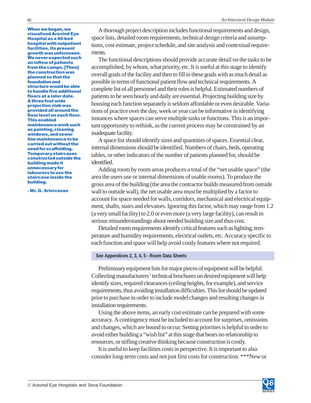When we began, we visualised Aravind Eye Hospital as a 40-bed hospital with outpatient facilities. Its present growth was unforeseen. We never expected such an inflow of patients from the camps. [Then] the construction was planned so that the foundation and structure would be able to handle five additional floors at a later date. A three foot wide projection slab was provided all around the floor level on each floor. This enabled maintenance work such as painting, cleaning windows, and sewer line maintenance to be carried out without the need for scaffolding. Temporary staircases constructed outside the building made it unnecessary for labourers to use the staircase inside the building.

- Mr. G. Srinivasan

A thorough project description includes functional requirements and design, space lists, detailed room requirements, technical design criteria and assumptions, cost estimate, project schedule, and site analysis and contextual requirements.

The functional descriptions should provide accurate detail on the tasks to be accomplished, by whom, what priority, etc. It is useful at this stage to identify overall goals of the facility and then to fill in these goals with as much detail as possible in terms of functional patient flow and technical requirements. A complete list of all personnel and their roles is helpful. Estimated numbers of patients to be seen hourly and daily are essential. Projecting building size by housing each function separately is seldom affordable or even desirable. Variations of practice over the day, week or year can be informative in identifying instances where spaces can serve multiple tasks or functions. This is an important opportunity to rethink, as the current process may be constrained by an inadequate facility.

A space list should identify sizes and quantities of spaces. Essential clear, internal dimensions should be identified. Numbers of chairs, beds, operating tables, or other indicators of the number of patients planned for, should be identified.

Adding room by room areas produces a total of the "net usable space" (the area the users use or internal dimensions of usable rooms). To produce the gross area of the building (the area the contractor builds measured from outside wall to outside wall), the net usable area must be multiplied by a factor to account for space needed for walls, corridors, mechanical and electrical equipment, shafts, stairs and elevators. Ignoring this factor, which may range from 1.2 (a very small facility) to 2.0 or even more (a very large facility), can result in serious misunderstandings about needed building size and thus cost.

Detailed room requirements identify critical features such as lighting, temperature and humidity requirements, electrical outlets, etc. Accuracy specific to each function and space will help avoid costly features where not required.

#### **See Appendices 2, 3, 4, 5 - Room Data Sheets**

Preliminary equipment lists for major pieces of equipment will be helpful. Collecting manufacturers' technical brochures on desired equipment will help identify sizes, required clearances (ceiling heights, for example), and service requirements, thus avoiding installation difficulties. This list should be updated prior to purchase in order to include model changes and resulting changes in installation requirements.

Using the above items, an early cost estimate can be prepared with some accuracy. A contingency must be included to account for surprises, omissions and changes, which are bound to occur. Setting priorities is helpful in order to avoid either building a "wish list" at this stage that bears no relationship to resources, or stifling creative thinking because construction is costly.

It is useful to keep facilities costs in perspective. It is important to also consider long-term costs and not just first costs for construction. \*\*\*New or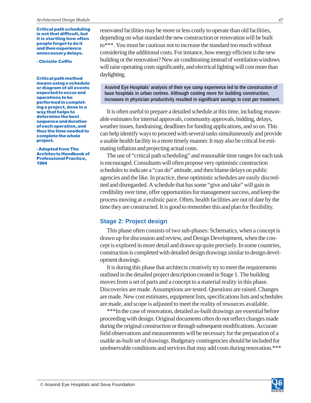Critical path scheduling is not that difficult, but it is startling how often people forget to do it and then experience unnecessary delays.

#### - Christie Coffin

Critical path method means using a schedule or diagram of all events expected to occur and operations to be performed in completing a project, done in a way that helps to determine the best sequence and duration of each operation, and thus the time needed to complete the whole project.

- Adapted from The <u>Architects Handbook of</u> Professional Practice, 1994

renovated facilities may be more or less costly to operate than old facilities, depending on what standard the new construction or renovation will be built to\*\*\*. You must be cautious not to increase the standard too much without considering the additional costs. For instance, how energy efficient is the new building or the renovation? New air conditioning instead of ventilation windows will raise operating costs significantly, and electrical lighting will cost more than daylighting.

#### **Aravind Eye Hospitals' analysis of their eye camp experience led to the construction of base hospitals in urban centres. Although costing more for building construction, increases in physician productivity resulted in significant savings in cost per treatment.**

It is often useful to prepare a detailed schedule at this time, including reasonable estimates for internal approvals, community approvals, bidding, delays, weather issues, fundraising, deadlines for funding applications, and so on. This can help identify ways to proceed with several tasks simultaneously and provide a usable health facility in a more timely manner. It may also be critical for estimating inflation and projecting actual costs.

The use of "critical path scheduling" and reasonable time ranges for each task is encouraged. Consultants will often propose very optimistic construction schedules to indicate a "can do" attitude, and then blame delays on public agencies and the like. In practice, these optimistic schedules are easily discredited and disregarded. A schedule that has some "give and take" will gain in credibility over time, offer opportunities for management success, and keep the process moving at a realistic pace. Often, health facilities are out of date by the time they are constructed. It is good to remember this and plan for flexibility.

#### **Stage 2: Project design**

This phase often consists of two sub-phases: Schematics, when a concept is drawn up for discussion and review, and Design Development, when the concept is explored in more detail and drawn up quite precisely. In some countries, construction is completed with detailed design drawings similar to design development drawings.

It is during this phase that architects creatively try to meet the requirements outlined in the detailed project description created in Stage 1. The building moves from a set of parts and a concept to a material reality in this phase. Discoveries are made. Assumptions are tested. Questions are raised. Changes are made. New cost estimates, equipment lists, specifications lists and schedules are made, and scope is adjusted to meet the reality of resources available.

\*\*\*In the case of renovation, detailed as-built drawings are essential before proceeding with design. Original documents often do not reflect changes made during the original construction or through subsequent modifications. Accurate field observations and measurements will be necessary for the preparation of a usable as-built set of drawings. Budgetary contingencies should be included for unobservable conditions and services that may add costs during renovation.\*\*\*

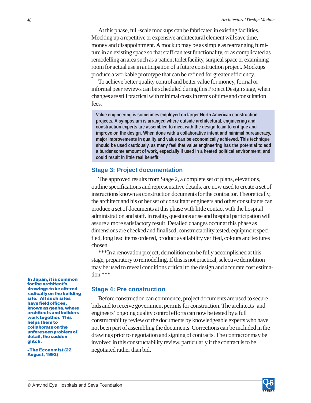At this phase, full-scale mockups can be fabricated in existing facilities. Mocking up a repetitive or expensive architectural element will save time, money and disappointment. A mockup may be as simple as rearranging furniture in an existing space so that staff can test functionality, or as complicated as remodelling an area such as a patient toilet facility, surgical space or examining room for actual use in anticipation of a future construction project. Mockups produce a workable prototype that can be refined for greater efficiency.

To achieve better quality control and better value for money, formal or informal peer reviews can be scheduled during this Project Design stage, when changes are still practical with minimal costs in terms of time and consultation fees.

**Value engineering is sometimes employed on larger North American construction projects. A symposium is arranged where outside architectural, engineering and construction experts are assembled to meet with the design team to critique and improve on the design. When done with a collaborative intent and minimal bureaucracy, major improvements in quality and value can be economically achieved. This technique should be used cautiously, as many feel that value engineering has the potential to add a burdensome amount of work, especially if used in a heated political environment, and could result in little real benefit.**

#### **Stage 3: Project documentation**

The approved results from Stage 2, a complete set of plans, elevations, outline specifications and representative details, are now used to create a set of instructions known as construction documents for the contractor. Theoretically, the architect and his or her set of consultant engineers and other consultants can produce a set of documents at this phase with little contact with the hospital administration and staff. In reality, questions arise and hospital participation will assure a more satisfactory result. Detailed changes occur at this phase as dimensions are checked and finalised, constructability tested, equipment specified, long lead items ordered, product availability verified, colours and textures chosen.

\*\*\*In a renovation project, demolition can be fully accomplished at this stage, preparatory to remodelling. If this is not practical, selective demolition may be used to reveal conditions critical to the design and accurate cost estimation.\*\*\*

#### **Stage 4: Pre construction**

Before construction can commence, project documents are used to secure bids and to receive government permits for construction. The architects' and engineers' ongoing quality control efforts can now be tested by a full constructability review of the documents by knowledgeable experts who have not been part of assembling the documents. Corrections can be included in the drawings prior to negotiation and signing of contracts. The contractor may be involved in this constructability review, particularly if the contract is to be negotiated rather than bid.

In Japan, it is common for the architect's drawings to be altered radically on the building site. All such sites have field offices, known as genba, where architects and builders work together. This helps them to collaborate on the unforeseen problem of detail, the sudden glitch.

- The Economist (22 **August, 1992)** 

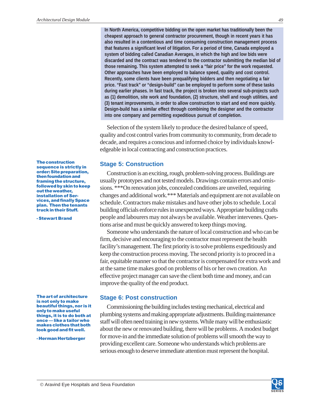**In North America, competitive bidding on the open market has traditionally been the cheapest approach to general contractor procurement, though in recent years it has also resulted in a contentious and time consuming construction management process that features a significant level of litigation. For a period of time, Canada employed a system of bidding called Canadian Averages, in which the high and low bids were discarded and the contract was tendered to the contractor submitting the median bid of those remaining. This system attempted to seek a "fair price" for the work requested. Other approaches have been employed to balance speed, quality and cost control. Recently, some clients have been prequalifying bidders and then negotiating a fair price. "Fast track" or "design-build" can be employed to perform some of these tasks during earlier phases. In fast track, the project is broken into several sub-projects such as (1) demolition, site work and foundation, (2) structure, shell and rough utilities, and (3) tenant improvements, in order to allow construction to start and end more quickly. Design-build has a similar effect through combining the designer and the contractor into one company and permitting expeditious pursuit of completion.**

Selection of the system likely to produce the desired balance of speed, quality and cost control varies from community to community, from decade to decade, and requires a conscious and informed choice by individuals knowledgeable in local contracting and construction practices.

#### **Stage 5: Construction**

Construction is an exciting, rough, problem-solving process. Buildings are usually prototypes and not tested models. Drawings contain errors and omissions. \*\*\*On renovation jobs, concealed conditions are unveiled, requiring changes and additional work.\*\*\* Materials and equipment are not available on schedule. Contractors make mistakes and have other jobs to schedule. Local building officials enforce rules in unexpected ways. Appropriate building crafts people and labourers may not always be available. Weather intervenes. Questions arise and must be quickly answered to keep things moving.

Someone who understands the nature of local construction and who can be firm, decisive and encouraging to the contractor must represent the health facility's management. The first priority is to solve problems expeditiously and keep the construction process moving. The second priority is to proceed in a fair, equitable manner so that the contractor is compensated for extra work and at the same time makes good on problems of his or her own creation. An effective project manager can save the client both time and money, and can improve the quality of the end product.

#### **Stage 6: Post construction**

Commissioning the building includes testing mechanical, electrical and plumbing systems and making appropriate adjustments. Building maintenance staff will often need training in new systems. While many will be enthusiastic about the new or renovated building, there will be problems. A modest budget for move-in and the immediate solution of problems will smooth the way to providing excellent care. Someone who understands which problems are serious enough to deserve immediate attention must represent the hospital.

The construction sequence is strictly in order: Site preparation, then foundation and framing the structure, followed by skin to keep out the weather, installation of Services, and finally Space plan. Then the tenants truck in their Stuff.

- Stewart Brand

The art of architecture is not only to make beautiful things, nor is it only to make useful things, it is to do both at once — like a tailor who makes clothes that both <u>look good and fit well.</u>

- Herman Hertzberger



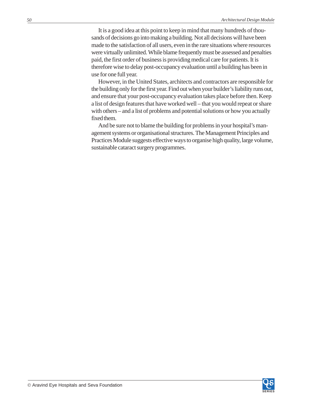It is a good idea at this point to keep in mind that many hundreds of thousands of decisions go into making a building. Not all decisions will have been made to the satisfaction of all users, even in the rare situations where resources were virtually unlimited. While blame frequently must be assessed and penalties paid, the first order of business is providing medical care for patients. It is therefore wise to delay post-occupancy evaluation until a building has been in use for one full year.

However, in the United States, architects and contractors are responsible for the building only for the first year. Find out when your builder's liability runs out, and ensure that your post-occupancy evaluation takes place before then. Keep a list of design features that have worked well – that you would repeat or share with others – and a list of problems and potential solutions or how you actually fixed them.

And be sure not to blame the building for problems in your hospital's management systems or organisational structures. The Management Principles and Practices Module suggests effective ways to organise high quality, large volume, sustainable cataract surgery programmes.

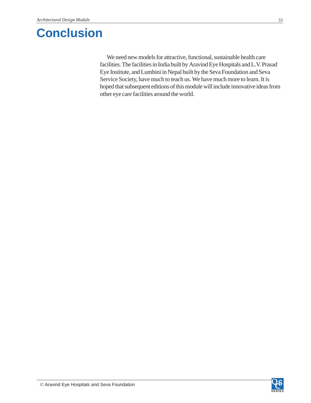# <span id="page-51-0"></span>**Conclusion**

We need new models for attractive, functional, sustainable health care facilities. The facilities in India built by Aravind Eye Hospitals and L.V. Prasad Eye Institute, and Lumbini in Nepal built by the Seva Foundation and Seva Service Society, have much to teach us. We have much more to learn. It is hoped that subsequent editions of this module will include innovative ideas from other eye care facilities around the world.



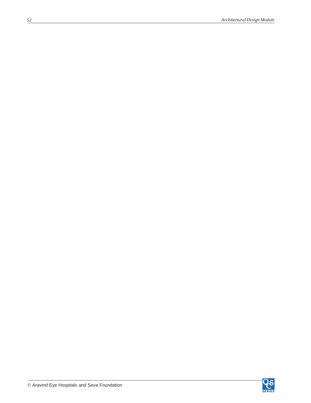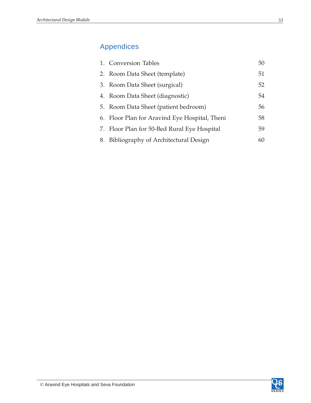### <span id="page-53-0"></span>Appendices

| 1. Conversion Tables                          | 50 |
|-----------------------------------------------|----|
| 2. Room Data Sheet (template)                 | 51 |
| 3. Room Data Sheet (surgical)                 | 52 |
| 4. Room Data Sheet (diagnostic)               | 54 |
| 5. Room Data Sheet (patient bedroom)          | 56 |
| 6. Floor Plan for Aravind Eye Hospital, Theni | 58 |
| 7. Floor Plan for 50-Bed Rural Eye Hospital   | 59 |
| 8. Bibliography of Architectural Design       | 60 |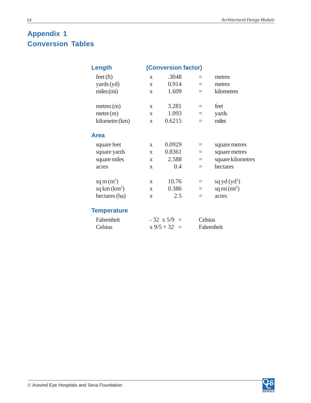### **Appendix 1 Conversion Tables**

| Length                              |              | (Conversion factor) |          |                   |
|-------------------------------------|--------------|---------------------|----------|-------------------|
| $f$ eet $(f$ t $)$                  | $\mathbf{X}$ | .3048               | $=$      | metres            |
| yards (yd)                          | $\mathbf{x}$ | 0.914               | $=$      | metres            |
| $miles$ $(mi)$                      | $\mathbf{X}$ | 1.609               | $=$      | kilometres        |
| meters(m)                           | $\mathbf{x}$ | 3.281               |          | feet              |
| $\text{metre}\left(\text{m}\right)$ | $\mathbf{X}$ | 1.093               | $\equiv$ | yards             |
| kilometre (km)                      | $\mathbf{X}$ | 0.6215              | $=$      | miles             |
| <b>Area</b>                         |              |                     |          |                   |
| square feet                         | $\mathbf{x}$ | 0.0929              | $=$      | square metres     |
| square yards                        | $\mathbf{x}$ | 0.8361              | $=$      | square metres     |
| square miles                        | $\mathbf{X}$ | 2.588               | $=$      | square kilometres |
| acres                               | $\mathbf{X}$ | 0.4                 | $=$      | hectares          |
| sq m $(m^2)$                        | $\mathbf{x}$ | 10.76               | $=$      | sq yd $(yd^2)$    |
| sq km $(km^2)$                      | $\mathbf{x}$ | 0.386               | $=$      | sq mi $(m2)$      |
| hectares (ha)                       | $\mathbf{X}$ | 2.5                 | $=$      | acres             |
| <b>Temperature</b>                  |              |                     |          |                   |
| Fahrenheit                          |              | $-32 \times 5/9 =$  | Celsius  |                   |
| Celsius                             |              | $x\ 9/5 + 32 =$     |          | Fahrenheit        |

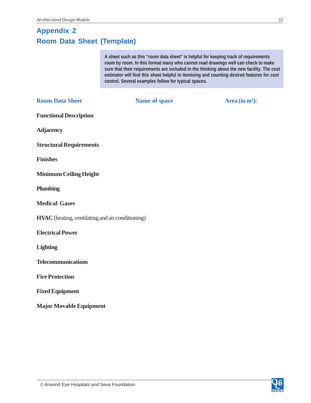### **Appendix 2 Room Data Sheet (Template)**

**A sheet such as this "room data sheet" is helpful for keeping track of requirements room by room. In this format many who cannot read drawings well can check to make sure that their requirements are included in the thinking about the new facility. The cost estimator will find this sheet helpful in itemising and counting desired features for cost control. Several examples follow for typical spaces.**

**Room Data Sheet Name of space** 

 $Area (in m<sup>2</sup>)$ :

**Functional Description**

**Adjacency**

**Structural Requirements**

**Finishes**

**Minimum Ceiling Height**

**Plumbing**

**Medical Gases**

**HVAC** (heating, ventilating and air conditioning)

**Electrical Power**

**Lighting**

**Telecommunications**

**Fire Protection**

**Fixed Equipment**

**Major Movable Equipment**

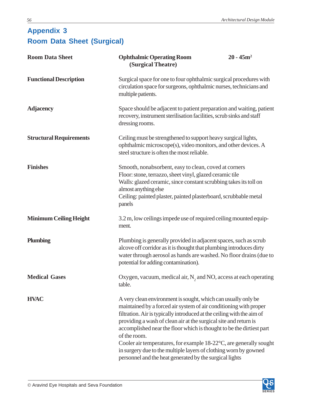### **Appendix 3 Room Data Sheet (Surgical)**

| <b>Room Data Sheet</b>         | <b>Ophthalmic Operating Room</b><br>(Surgical Theatre)                                                                                                                                                                                                                                                                                                                                                                                                                                                                                                                           | $20 - 45m^2$ |
|--------------------------------|----------------------------------------------------------------------------------------------------------------------------------------------------------------------------------------------------------------------------------------------------------------------------------------------------------------------------------------------------------------------------------------------------------------------------------------------------------------------------------------------------------------------------------------------------------------------------------|--------------|
| <b>Functional Description</b>  | Surgical space for one to four ophthalmic surgical procedures with<br>circulation space for surgeons, ophthalmic nurses, technicians and<br>multiple patients.                                                                                                                                                                                                                                                                                                                                                                                                                   |              |
| <b>Adjacency</b>               | Space should be adjacent to patient preparation and waiting, patient<br>recovery, instrument sterilisation facilities, scrub sinks and staff<br>dressing rooms.                                                                                                                                                                                                                                                                                                                                                                                                                  |              |
| <b>Structural Requirements</b> | Ceiling must be strengthened to support heavy surgical lights,<br>ophthalmic microscope(s), video monitors, and other devices. A<br>steel structure is often the most reliable.                                                                                                                                                                                                                                                                                                                                                                                                  |              |
| <b>Finishes</b>                | Smooth, nonabsorbent, easy to clean, coved at corners<br>Floor: stone, terrazzo, sheet vinyl, glazed ceramic tile<br>Walls: glazed ceramic, since constant scrubbing takes its toll on<br>almost anything else<br>Ceiling: painted plaster, painted plasterboard, scrubbable metal<br>panels                                                                                                                                                                                                                                                                                     |              |
| <b>Minimum Ceiling Height</b>  | 3.2 m, low ceilings impede use of required ceiling mounted equip-<br>ment.                                                                                                                                                                                                                                                                                                                                                                                                                                                                                                       |              |
| <b>Plumbing</b>                | Plumbing is generally provided in adjacent spaces, such as scrub<br>alcove off corridor as it is thought that plumbing introduces dirty<br>water through aerosol as hands are washed. No floor drains (due to<br>potential for adding contamination).                                                                                                                                                                                                                                                                                                                            |              |
| <b>Medical Gases</b>           | Oxygen, vacuum, medical air, N <sub>2</sub> and NO, access at each operating<br>table.                                                                                                                                                                                                                                                                                                                                                                                                                                                                                           |              |
| <b>HVAC</b>                    | A very clean environment is sought, which can usually only be<br>maintained by a forced air system of air conditioning with proper<br>filtration. Air is typically introduced at the ceiling with the aim of<br>providing a wash of clean air at the surgical site and return is<br>accomplished near the floor which is thought to be the dirtiest part<br>of the room.<br>Cooler air temperatures, for example $18-22$ °C, are generally sought<br>in surgery due to the multiple layers of clothing worn by gowned<br>personnel and the heat generated by the surgical lights |              |

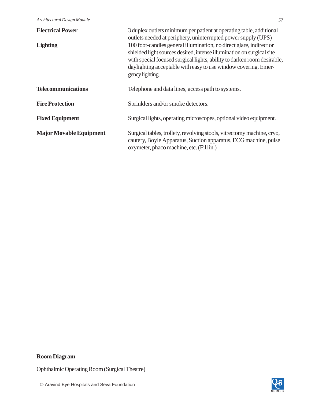| <b>Electrical Power</b>        | 3 duplex outlets minimum per patient at operating table, additional<br>outlets needed at periphery, uninterrupted power supply (UPS)                                                                                                                                                                         |
|--------------------------------|--------------------------------------------------------------------------------------------------------------------------------------------------------------------------------------------------------------------------------------------------------------------------------------------------------------|
| <b>Lighting</b>                | 100 foot-candles general illumination, no direct glare, indirect or<br>shielded light sources desired, intense illumination on surgical site<br>with special focused surgical lights, ability to darken room desirable,<br>daylighting acceptable with easy to use window covering. Emer-<br>gency lighting. |
| <b>Telecommunications</b>      | Telephone and data lines, access path to systems.                                                                                                                                                                                                                                                            |
| <b>Fire Protection</b>         | Sprinklers and/or smoke detectors.                                                                                                                                                                                                                                                                           |
| <b>Fixed Equipment</b>         | Surgical lights, operating microscopes, optional video equipment.                                                                                                                                                                                                                                            |
| <b>Major Movable Equipment</b> | Surgical tables, trollety, revolving stools, vitrectomy machine, cryo,<br>cautery, Boyle Apparatus, Suction apparatus, ECG machine, pulse<br>oxymeter, phaco machine, etc. (Fill in.)                                                                                                                        |

#### **Room Diagram**

Ophthalmic Operating Room (Surgical Theatre)

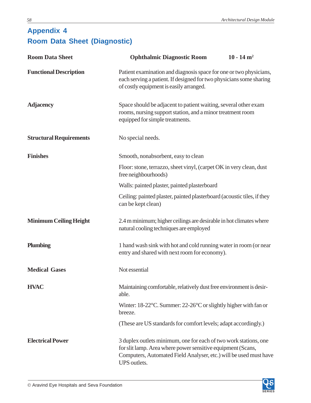### **Appendix 4 Room Data Sheet (Diagnostic)**

| <b>Room Data Sheet</b>         | <b>Ophthalmic Diagnostic Room</b>                                                                                                                                                                                    | $10 - 14$ m <sup>2</sup> |
|--------------------------------|----------------------------------------------------------------------------------------------------------------------------------------------------------------------------------------------------------------------|--------------------------|
| <b>Functional Description</b>  | Patient examination and diagnosis space for one or two physicians,<br>each serving a patient. If designed for two physicians some sharing<br>of costly equipment is easily arranged.                                 |                          |
| <b>Adjacency</b>               | Space should be adjacent to patient waiting, several other exam<br>rooms, nursing support station, and a minor treatment room<br>equipped for simple treatments.                                                     |                          |
| <b>Structural Requirements</b> | No special needs.                                                                                                                                                                                                    |                          |
| <b>Finishes</b>                | Smooth, nonabsorbent, easy to clean                                                                                                                                                                                  |                          |
|                                | Floor: stone, terrazzo, sheet vinyl, (carpet OK in very clean, dust<br>free neighbourhoods)                                                                                                                          |                          |
|                                | Walls: painted plaster, painted plasterboard                                                                                                                                                                         |                          |
|                                | Ceiling: painted plaster, painted plasterboard (acoustic tiles, if they<br>can be kept clean)                                                                                                                        |                          |
| <b>Minimum Ceiling Height</b>  | 2.4 m minimum; higher ceilings are desirable in hot climates where<br>natural cooling techniques are employed                                                                                                        |                          |
| Plumbing                       | 1 hand wash sink with hot and cold running water in room (or near<br>entry and shared with next room for economy).                                                                                                   |                          |
| <b>Medical Gases</b>           | Not essential                                                                                                                                                                                                        |                          |
| <b>HVAC</b>                    | Maintaining comfortable, relatively dust free environment is desir-<br>able.                                                                                                                                         |                          |
|                                | Winter: $18-22$ °C. Summer: $22-26$ °C or slightly higher with fan or<br>breeze.                                                                                                                                     |                          |
|                                | (These are US standards for comfort levels; adapt accordingly.)                                                                                                                                                      |                          |
| <b>Electrical Power</b>        | 3 duplex outlets minimum, one for each of two work stations, one<br>for slit lamp. Area where power sensitive equipment (Scans,<br>Computers, Automated Field Analyser, etc.) will be used must have<br>UPS outlets. |                          |

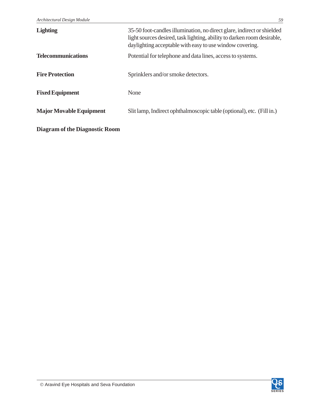| <b>Lighting</b>                | 35-50 foot-candles illumination, no direct glare, indirect or shielded<br>light sources desired, task lighting, ability to darken room desirable,<br>daylighting acceptable with easy to use window covering. |
|--------------------------------|---------------------------------------------------------------------------------------------------------------------------------------------------------------------------------------------------------------|
| <b>Telecommunications</b>      | Potential for telephone and data lines, access to systems.                                                                                                                                                    |
| <b>Fire Protection</b>         | Sprinklers and/or smoke detectors.                                                                                                                                                                            |
| <b>Fixed Equipment</b>         | None                                                                                                                                                                                                          |
| <b>Major Movable Equipment</b> | Slit lamp, Indirect ophthalmoscopic table (optional), etc. (Fill in.)                                                                                                                                         |

**Diagram of the Diagnostic Room**

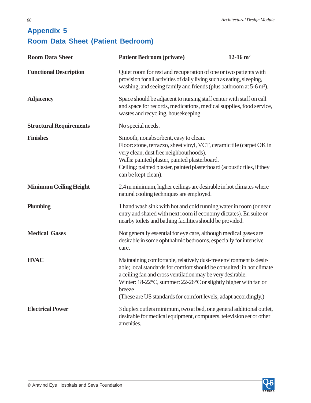### **Appendix 5 Room Data Sheet (Patient Bedroom)**

| <b>Room Data Sheet</b>         | <b>Patient Bedroom (private)</b>                                                                                                                                                                                                                                                                                                                           | $12-16 \,\mathrm{m}^2$ |
|--------------------------------|------------------------------------------------------------------------------------------------------------------------------------------------------------------------------------------------------------------------------------------------------------------------------------------------------------------------------------------------------------|------------------------|
| <b>Functional Description</b>  | Quiet room for rest and recuperation of one or two patients with<br>provision for all activities of daily living such as eating, sleeping,<br>washing, and seeing family and friends (plus bathroom at 5-6 m <sup>2</sup> ).                                                                                                                               |                        |
| <b>Adjacency</b>               | Space should be adjacent to nursing staff center with staff on call<br>and space for records, medications, medical supplies, food service,<br>wastes and recycling, housekeeping.                                                                                                                                                                          |                        |
| <b>Structural Requirements</b> | No special needs.                                                                                                                                                                                                                                                                                                                                          |                        |
| <b>Finishes</b>                | Smooth, nonabsorbent, easy to clean.<br>Floor: stone, terrazzo, sheet vinyl, VCT, ceramic tile (carpet OK in<br>very clean, dust free neighbourhoods).<br>Walls: painted plaster, painted plasterboard.<br>Ceiling: painted plaster, painted plasterboard (acoustic tiles, if they<br>can be kept clean).                                                  |                        |
| <b>Minimum Ceiling Height</b>  | 2.4 m minimum, higher ceilings are desirable in hot climates where<br>natural cooling techniques are employed.                                                                                                                                                                                                                                             |                        |
| <b>Plumbing</b>                | 1 hand wash sink with hot and cold running water in room (or near<br>entry and shared with next room if economy dictates). En suite or<br>nearby toilets and bathing facilities should be provided.                                                                                                                                                        |                        |
| <b>Medical Gases</b>           | Not generally essential for eye care, although medical gases are<br>desirable in some ophthalmic bedrooms, especially for intensive<br>care.                                                                                                                                                                                                               |                        |
| <b>HVAC</b>                    | Maintaining comfortable, relatively dust-free environment is desir-<br>able; local standards for comfort should be consulted; in hot climate<br>a ceiling fan and cross ventilation may be very desirable.<br>Winter: 18-22°C, summer: 22-26°C or slightly higher with fan or<br>breeze<br>(These are US standards for comfort levels; adapt accordingly.) |                        |
| <b>Electrical Power</b>        | 3 duplex outlets minimum, two at bed, one general additional outlet,<br>desirable for medical equipment, computers, television set or other<br>amenities.                                                                                                                                                                                                  |                        |

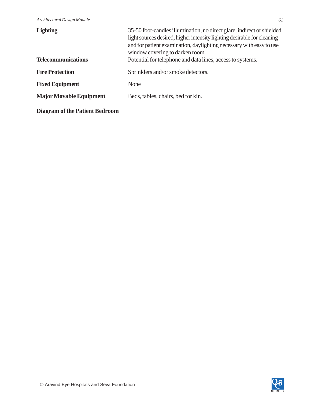| <b>Lighting</b>                | 35-50 foot-candles illumination, no direct glare, indirect or shielded<br>light sources desired, higher intensity lighting desirable for cleaning<br>and for patient examination, daylighting necessary with easy to use<br>window covering to darken room. |
|--------------------------------|-------------------------------------------------------------------------------------------------------------------------------------------------------------------------------------------------------------------------------------------------------------|
| <b>Telecommunications</b>      | Potential for telephone and data lines, access to systems.                                                                                                                                                                                                  |
| <b>Fire Protection</b>         | Sprinklers and/or smoke detectors.                                                                                                                                                                                                                          |
| <b>Fixed Equipment</b>         | None                                                                                                                                                                                                                                                        |
| <b>Major Movable Equipment</b> | Beds, tables, chairs, bed for kin.                                                                                                                                                                                                                          |
| Diagram of the Patient Bedroom |                                                                                                                                                                                                                                                             |

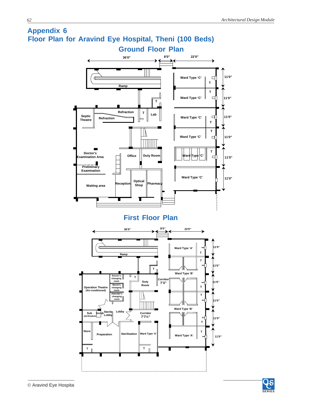### **Appendix 6**



**Floor Plan for Aravind Eye Hospital, Theni (100 Beds)**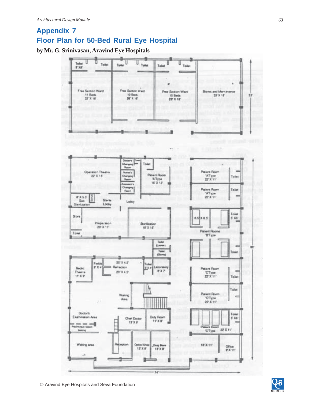### **Appendix 7 Floor Plan for 50-Bed Rural Eye Hospital**

**by Mr. G. Srinivasan, Aravind Eye Hospitals**